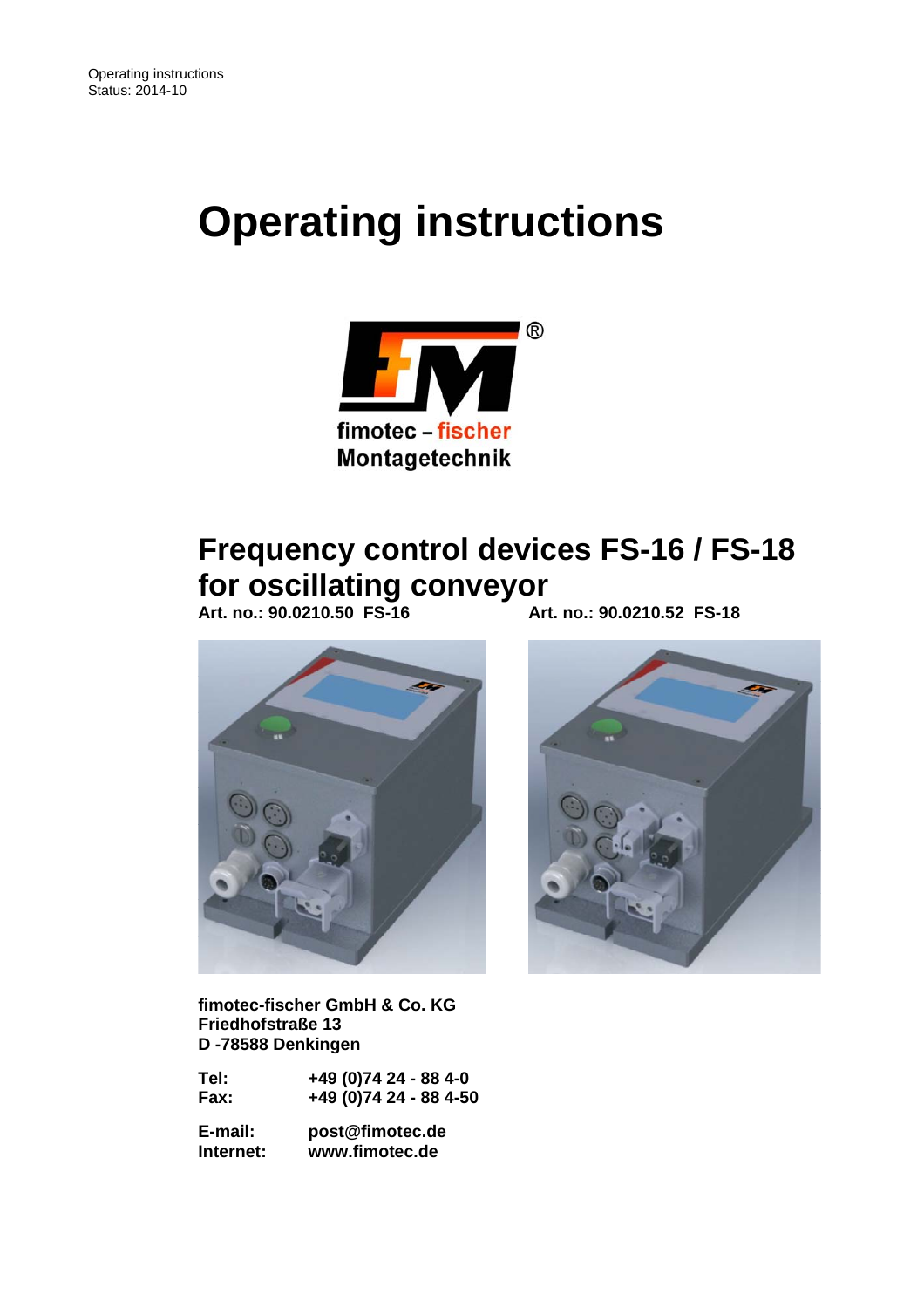# **Operating instructions**



## **Frequency control devices FS-16 / FS-18 for oscillating conveyor**

 **Art. no.: 90.0210.50 FS-16 Art. no.: 90.0210.52 FS-18** 



 **fimotec-fischer GmbH & Co. KG Friedhofstraße 13 D -78588 Denkingen** 

| Tel: | +49 (0)74 24 - 88 4-0  |
|------|------------------------|
| Fax: | +49 (0)74 24 - 88 4-50 |

 **E-mail: post@fimotec.de Internet: www.fimotec.de** 

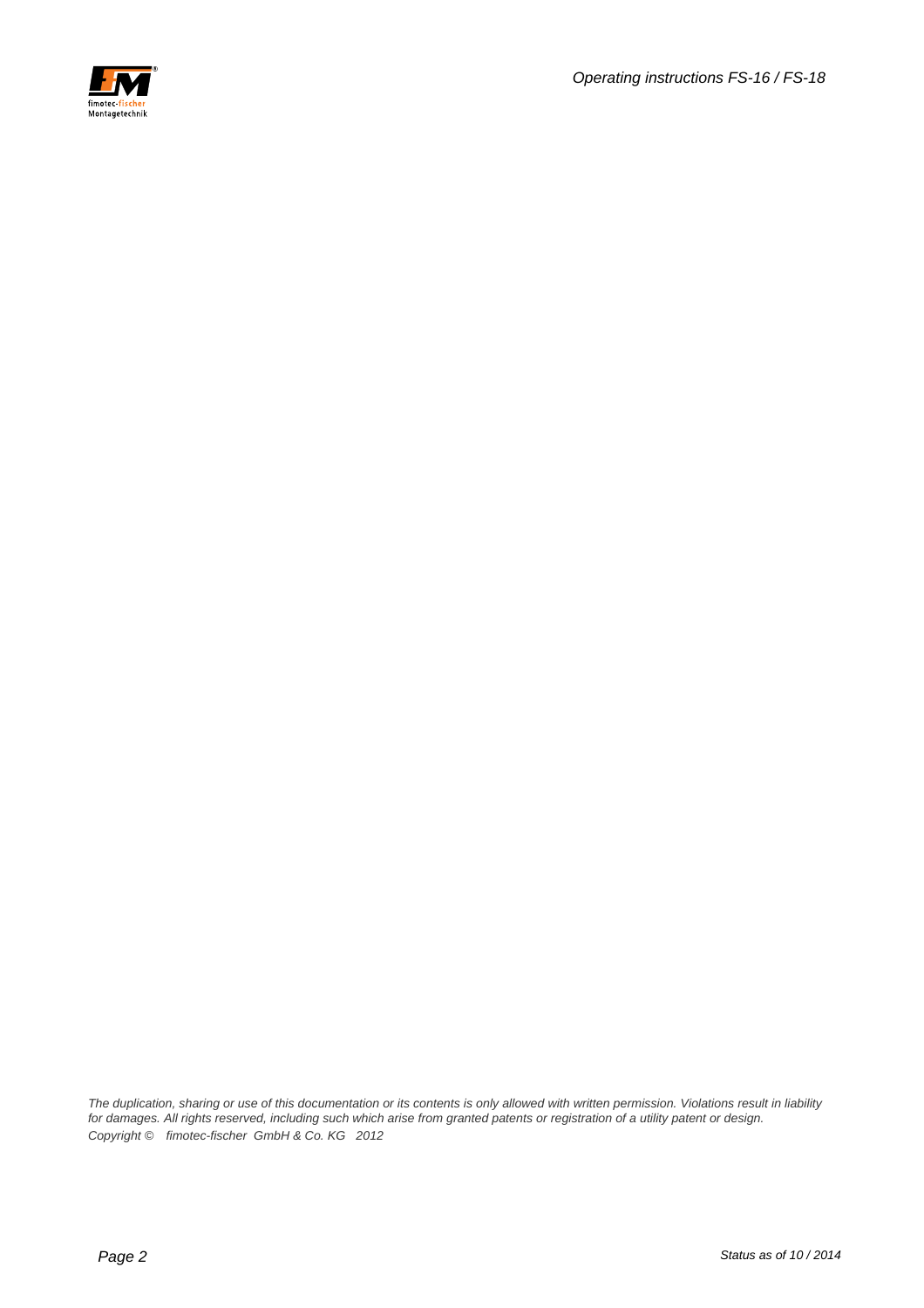

*The duplication, sharing or use of this documentation or its contents is only allowed with written permission. Violations result in liability*  for damages. All rights reserved, including such which arise from granted patents or registration of a utility patent or design. *Copyright © fimotec-fischer GmbH & Co. KG 2012*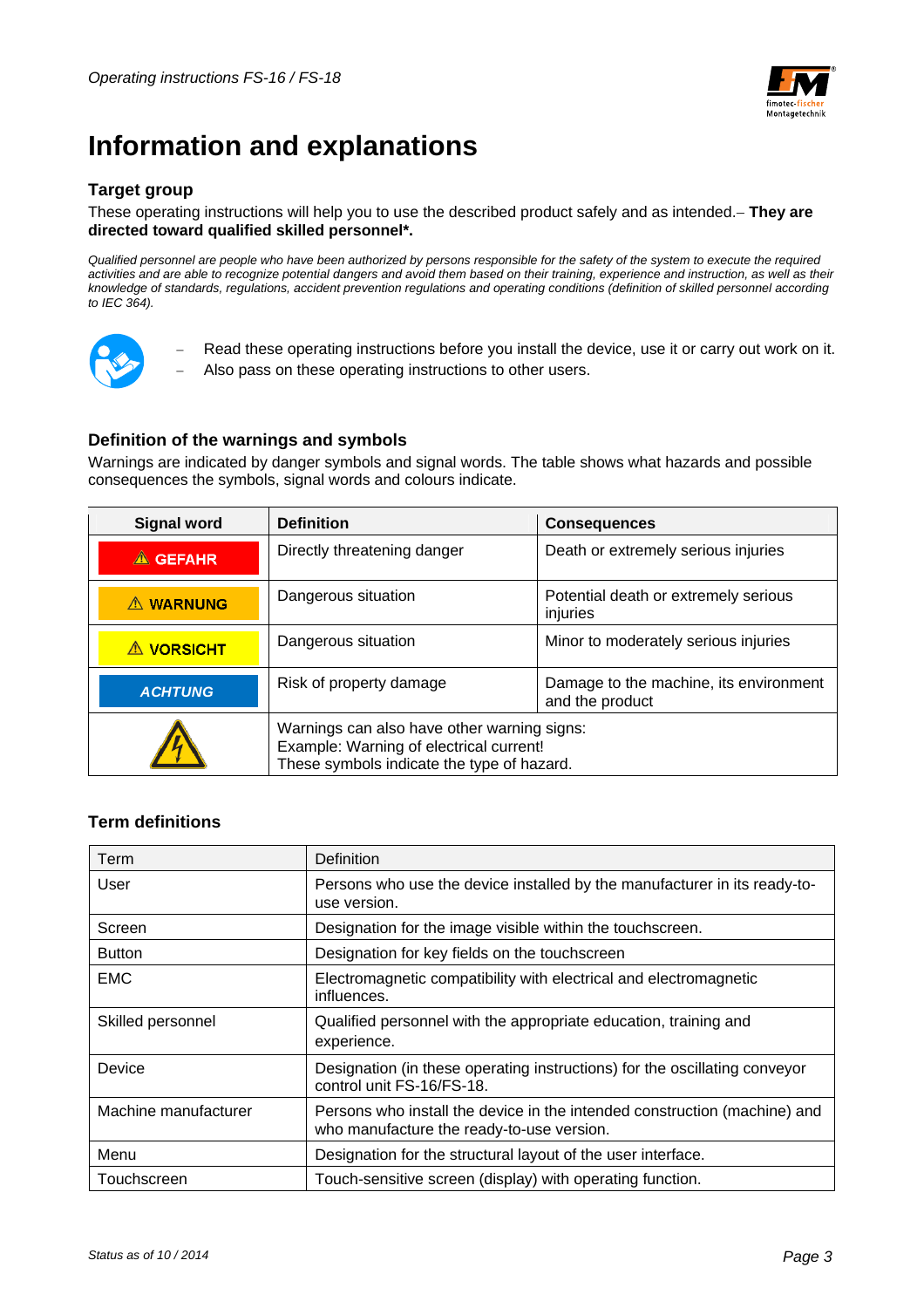

## **Information and explanations**

#### **Target group**

#### These operating instructions will help you to use the described product safely and as intended. **They are directed toward qualified skilled personnel\*.**

*Qualified personnel are people who have been authorized by persons responsible for the safety of the system to execute the required*  activities and are able to recognize potential dangers and avoid them based on their training, experience and instruction, as well as their *knowledge of standards, regulations, accident prevention regulations and operating conditions (definition of skilled personnel according to IEC 364).* 



- Read these operating instructions before you install the device, use it or carry out work on it.
- Also pass on these operating instructions to other users.

#### **Definition of the warnings and symbols**

Warnings are indicated by danger symbols and signal words. The table shows what hazards and possible consequences the symbols, signal words and colours indicate.

| <b>Signal word</b> | <b>Definition</b>                                                                                                                    | <b>Consequences</b>                                       |  |
|--------------------|--------------------------------------------------------------------------------------------------------------------------------------|-----------------------------------------------------------|--|
| $\triangle$ GEFAHR | Directly threatening danger                                                                                                          | Death or extremely serious injuries                       |  |
| A WARNUNG          | Dangerous situation                                                                                                                  | Potential death or extremely serious<br>injuries          |  |
| <b>A VORSICHT</b>  | Dangerous situation                                                                                                                  | Minor to moderately serious injuries                      |  |
| <b>ACHTUNG</b>     | Risk of property damage                                                                                                              | Damage to the machine, its environment<br>and the product |  |
|                    | Warnings can also have other warning signs:<br>Example: Warning of electrical current!<br>These symbols indicate the type of hazard. |                                                           |  |

#### **Term definitions**

| Term                 | Definition                                                                                                             |
|----------------------|------------------------------------------------------------------------------------------------------------------------|
| User                 | Persons who use the device installed by the manufacturer in its ready-to-<br>use version.                              |
| Screen               | Designation for the image visible within the touchscreen.                                                              |
| <b>Button</b>        | Designation for key fields on the touchscreen                                                                          |
| <b>EMC</b>           | Electromagnetic compatibility with electrical and electromagnetic<br>influences.                                       |
| Skilled personnel    | Qualified personnel with the appropriate education, training and<br>experience.                                        |
| Device               | Designation (in these operating instructions) for the oscillating conveyor<br>control unit FS-16/FS-18.                |
| Machine manufacturer | Persons who install the device in the intended construction (machine) and<br>who manufacture the ready-to-use version. |
| Menu                 | Designation for the structural layout of the user interface.                                                           |
| Touchscreen          | Touch-sensitive screen (display) with operating function.                                                              |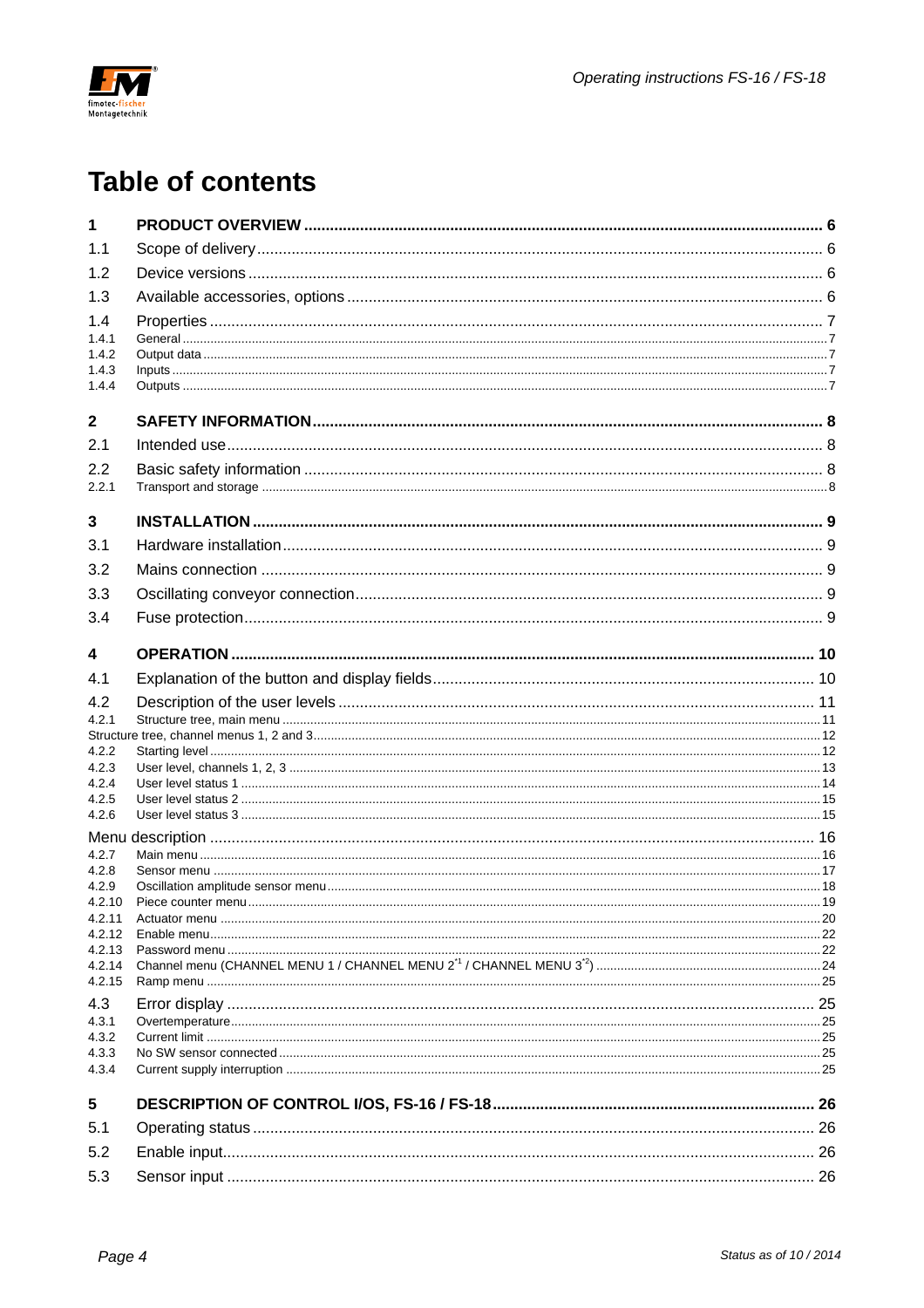

## **Table of contents**

| 1                |  |
|------------------|--|
| 1.1              |  |
| 1.2              |  |
| 1.3              |  |
| 1.4              |  |
| 1.4.1            |  |
| 1.4.2<br>1.4.3   |  |
| 1.4.4            |  |
| $\mathbf{2}$     |  |
| 2.1              |  |
| 2.2              |  |
| 2.2.1            |  |
| 3                |  |
| 3.1              |  |
| 3.2              |  |
| 3.3              |  |
| 3.4              |  |
| 4                |  |
| 4.1              |  |
| 4.2              |  |
| 4.2.1            |  |
| 4.2.2            |  |
| 4.2.3            |  |
| 4.2.4            |  |
| 4.2.5<br>4.2.6   |  |
| Menu             |  |
| 4.2.7            |  |
| 4.2.8<br>4.2.9   |  |
| 4.2.10           |  |
| 4.2.11           |  |
| 4.2.12<br>4.2.13 |  |
| 4.2.14           |  |
| 4.2.15           |  |
| 4.3<br>4.3.1     |  |
| 4.3.2            |  |
| 4.3.3            |  |
| 4.3.4            |  |
| 5                |  |
| 5.1              |  |
| 5.2              |  |
| 5.3              |  |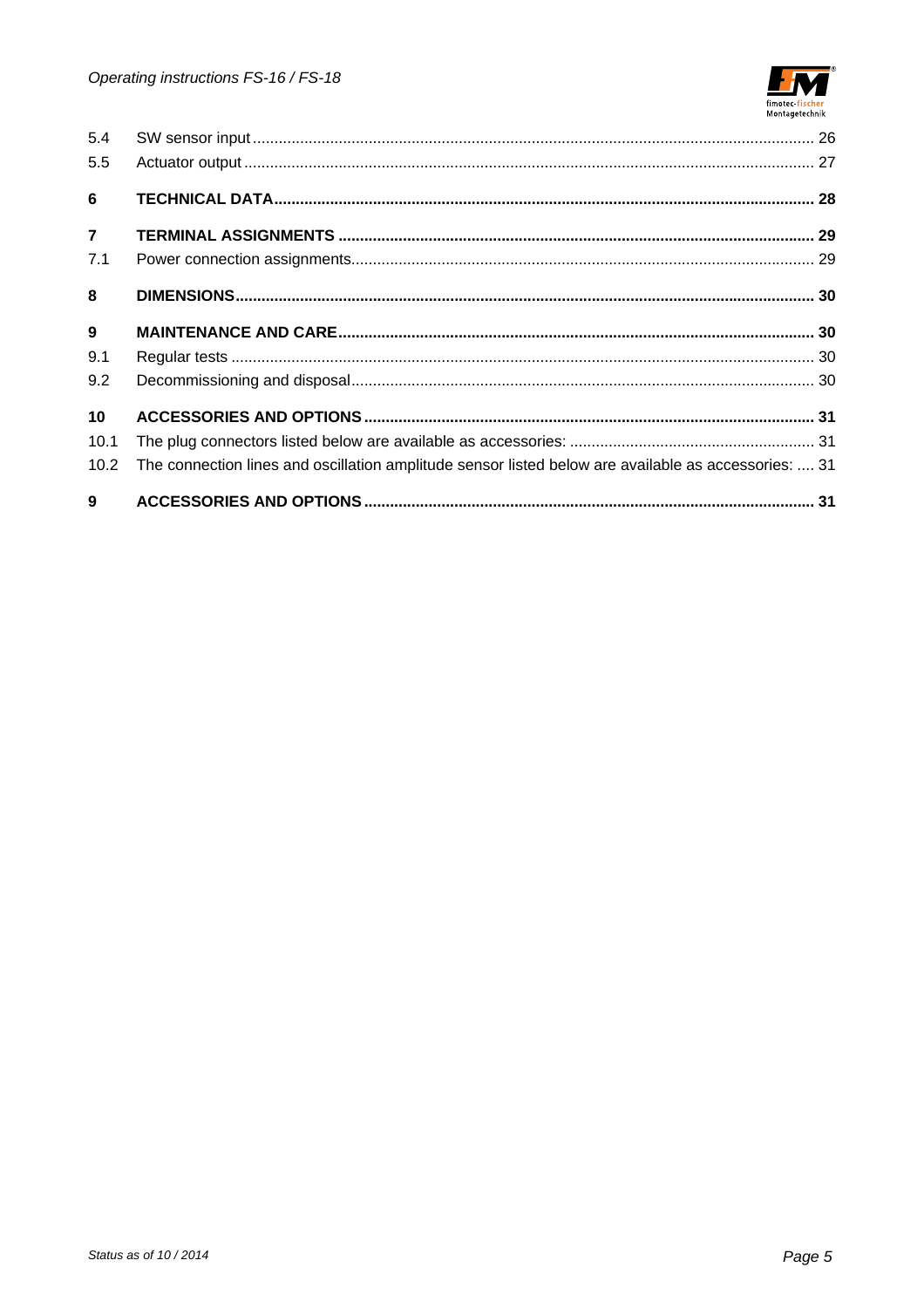

| 5.4<br>5.5      |                                                                                                      |  |
|-----------------|------------------------------------------------------------------------------------------------------|--|
| 6               |                                                                                                      |  |
| $\overline{7}$  |                                                                                                      |  |
| 7.1             |                                                                                                      |  |
| 8               |                                                                                                      |  |
| $9^{\circ}$     |                                                                                                      |  |
| 9.1             |                                                                                                      |  |
| 9.2             |                                                                                                      |  |
| 10 <sup>1</sup> |                                                                                                      |  |
| 10.1            |                                                                                                      |  |
| 10.2            | The connection lines and oscillation amplitude sensor listed below are available as accessories:  31 |  |
|                 |                                                                                                      |  |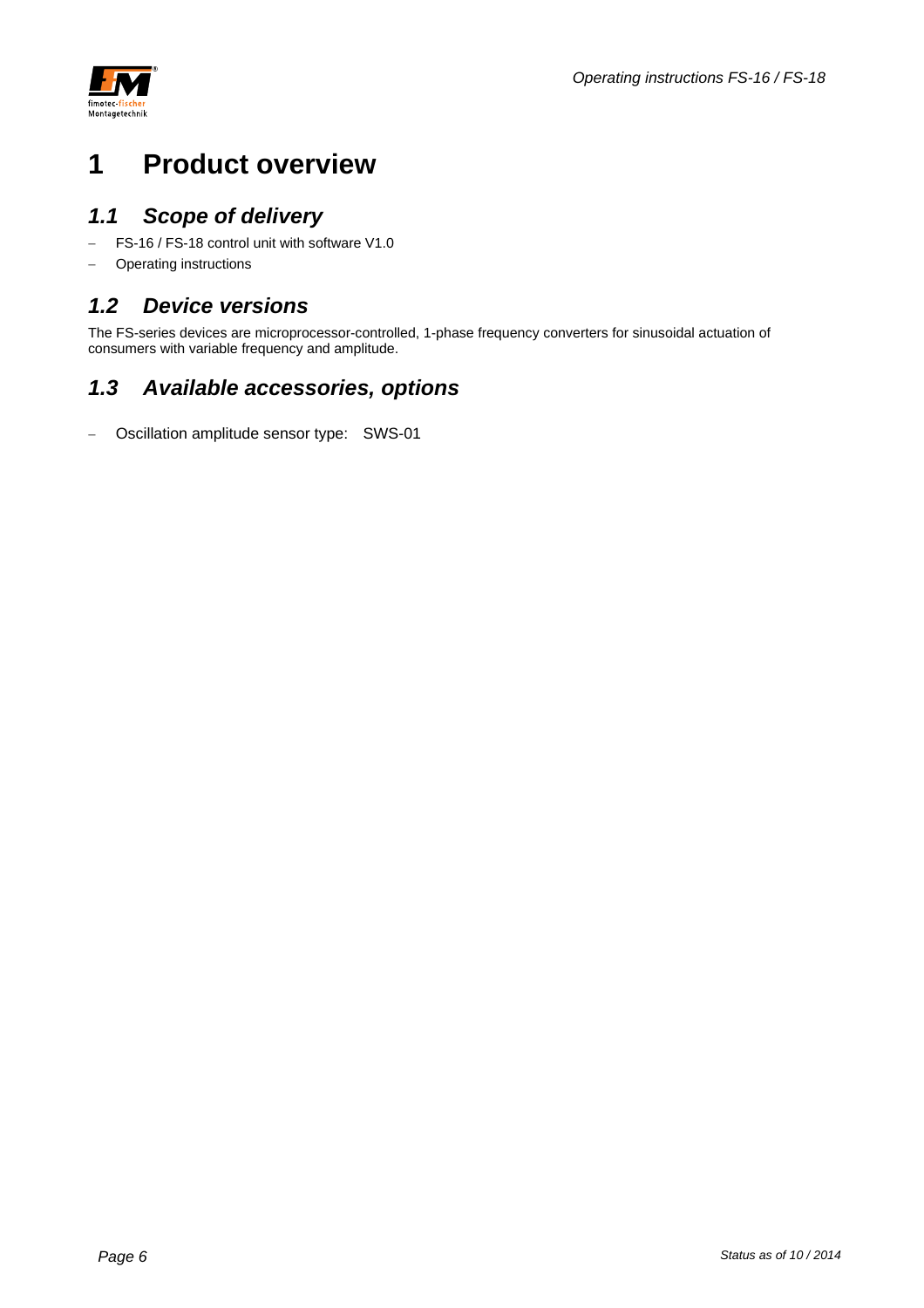



## **1 Product overview**

## *1.1 Scope of delivery*

- FS-16 / FS-18 control unit with software V1.0
- Operating instructions

### *1.2 Device versions*

The FS-series devices are microprocessor-controlled, 1-phase frequency converters for sinusoidal actuation of consumers with variable frequency and amplitude.

## *1.3 Available accessories, options*

- Oscillation amplitude sensor type: SWS-01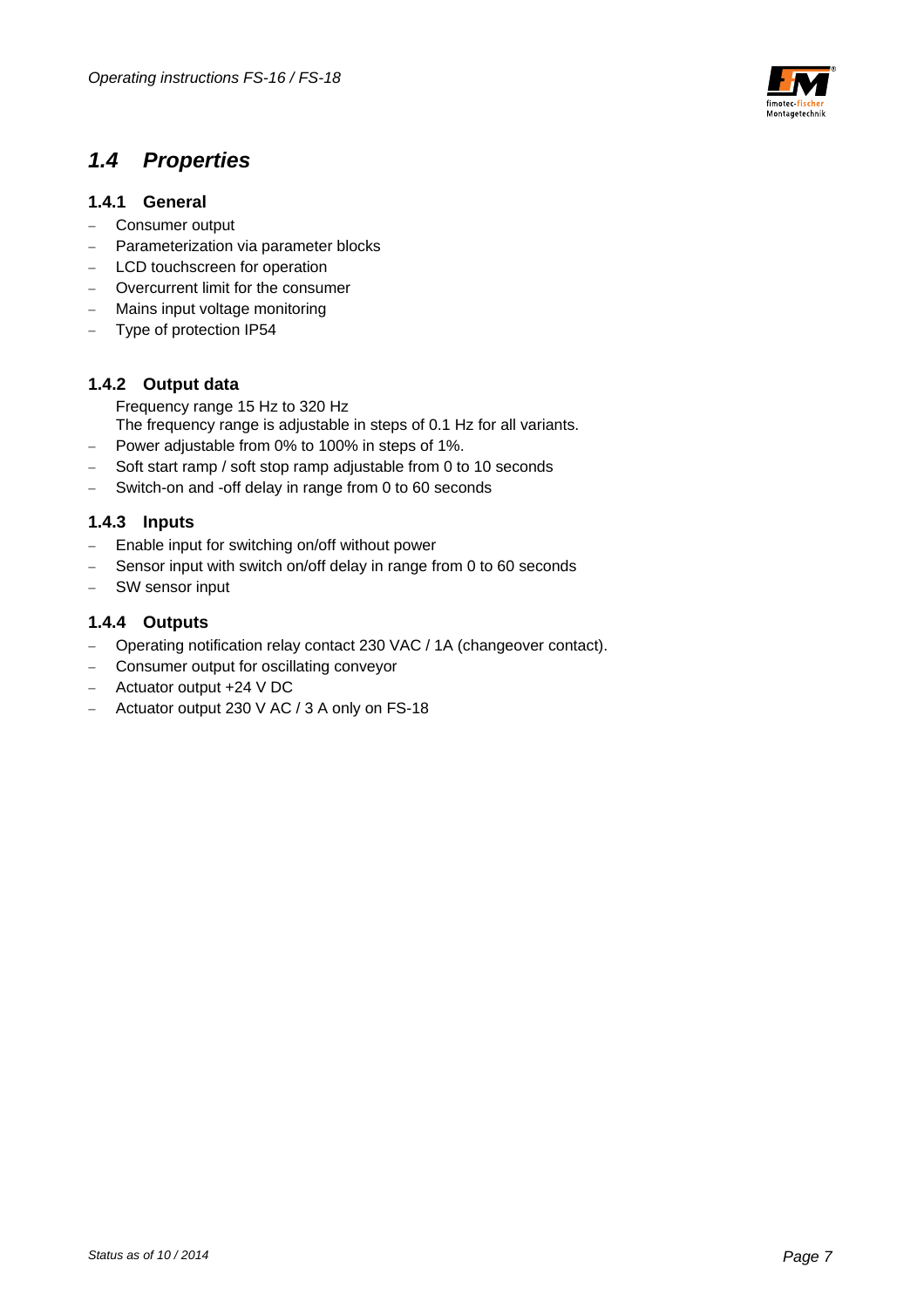

### *1.4 Properties*

#### **1.4.1 General**

- Consumer output
- Parameterization via parameter blocks
- LCD touchscreen for operation
- Overcurrent limit for the consumer
- Mains input voltage monitoring
- Type of protection IP54

#### **1.4.2 Output data**

Frequency range 15 Hz to 320 Hz The frequency range is adjustable in steps of 0.1 Hz for all variants.

- Power adjustable from 0% to 100% in steps of 1%.
- Soft start ramp / soft stop ramp adjustable from 0 to 10 seconds
- Switch-on and -off delay in range from 0 to 60 seconds

#### **1.4.3 Inputs**

- Enable input for switching on/off without power
- Sensor input with switch on/off delay in range from 0 to 60 seconds
- SW sensor input

#### **1.4.4 Outputs**

- Operating notification relay contact 230 VAC / 1A (changeover contact).
- Consumer output for oscillating conveyor
- Actuator output +24 V DC
- Actuator output 230 V AC / 3 A only on FS-18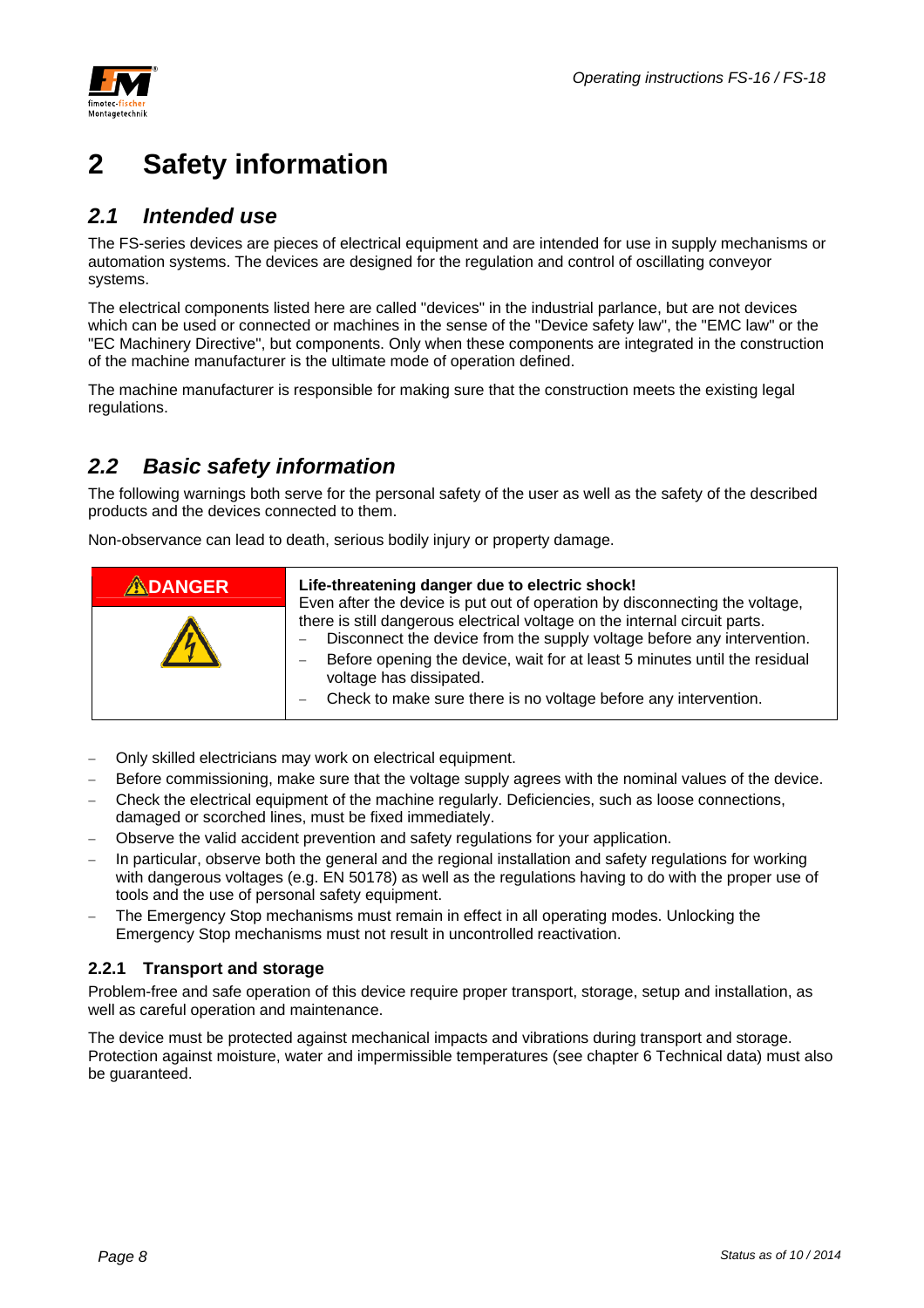

## **2 Safety information**

### *2.1 Intended use*

The FS-series devices are pieces of electrical equipment and are intended for use in supply mechanisms or automation systems. The devices are designed for the regulation and control of oscillating conveyor systems.

The electrical components listed here are called "devices" in the industrial parlance, but are not devices which can be used or connected or machines in the sense of the "Device safety law", the "EMC law" or the "EC Machinery Directive", but components. Only when these components are integrated in the construction of the machine manufacturer is the ultimate mode of operation defined.

The machine manufacturer is responsible for making sure that the construction meets the existing legal regulations.

### *2.2 Basic safety information*

The following warnings both serve for the personal safety of the user as well as the safety of the described products and the devices connected to them.

Non-observance can lead to death, serious bodily injury or property damage.

| ADANGER | Life-threatening danger due to electric shock!<br>Even after the device is put out of operation by disconnecting the voltage,                                                                                                                                                                                                   |
|---------|---------------------------------------------------------------------------------------------------------------------------------------------------------------------------------------------------------------------------------------------------------------------------------------------------------------------------------|
|         | there is still dangerous electrical voltage on the internal circuit parts.<br>Disconnect the device from the supply voltage before any intervention.<br>Before opening the device, wait for at least 5 minutes until the residual<br>voltage has dissipated.<br>Check to make sure there is no voltage before any intervention. |

- Only skilled electricians may work on electrical equipment.
- Before commissioning, make sure that the voltage supply agrees with the nominal values of the device.
- Check the electrical equipment of the machine regularly. Deficiencies, such as loose connections, damaged or scorched lines, must be fixed immediately.
- Observe the valid accident prevention and safety regulations for your application.
- In particular, observe both the general and the regional installation and safety regulations for working with dangerous voltages (e.g. EN 50178) as well as the regulations having to do with the proper use of tools and the use of personal safety equipment.
- The Emergency Stop mechanisms must remain in effect in all operating modes. Unlocking the Emergency Stop mechanisms must not result in uncontrolled reactivation.

#### **2.2.1 Transport and storage**

Problem-free and safe operation of this device require proper transport, storage, setup and installation, as well as careful operation and maintenance.

The device must be protected against mechanical impacts and vibrations during transport and storage. Protection against moisture, water and impermissible temperatures (see chapter 6 Technical data) must also be guaranteed.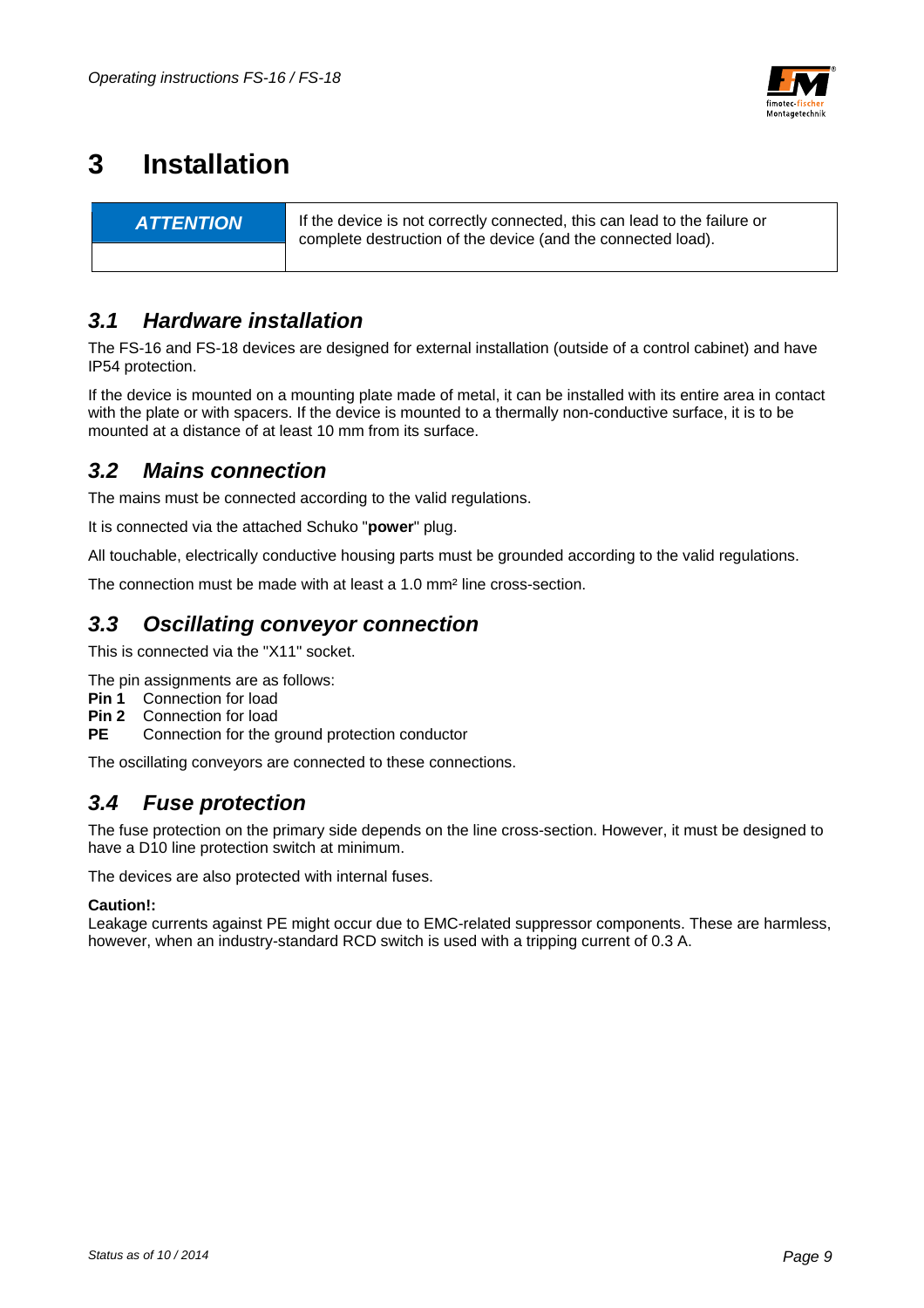

## **3 Installation**

**ATTENTION** If the device is not correctly connected, this can lead to the failure or complete destruction of the device (and the connected load).

### *3.1 Hardware installation*

The FS-16 and FS-18 devices are designed for external installation (outside of a control cabinet) and have IP54 protection.

If the device is mounted on a mounting plate made of metal, it can be installed with its entire area in contact with the plate or with spacers. If the device is mounted to a thermally non-conductive surface, it is to be mounted at a distance of at least 10 mm from its surface.

### *3.2 Mains connection*

The mains must be connected according to the valid regulations.

It is connected via the attached Schuko "**power**" plug.

All touchable, electrically conductive housing parts must be grounded according to the valid regulations.

The connection must be made with at least a 1.0 mm² line cross-section.

### *3.3 Oscillating conveyor connection*

This is connected via the "X11" socket.

- The pin assignments are as follows:
- **Pin 1** Connection for load
- **Pin 2** Connection for load
- **PE** Connection for the ground protection conductor

The oscillating conveyors are connected to these connections.

### *3.4 Fuse protection*

The fuse protection on the primary side depends on the line cross-section. However, it must be designed to have a D10 line protection switch at minimum.

The devices are also protected with internal fuses.

#### **Caution!:**

Leakage currents against PE might occur due to EMC-related suppressor components. These are harmless, however, when an industry-standard RCD switch is used with a tripping current of 0.3 A.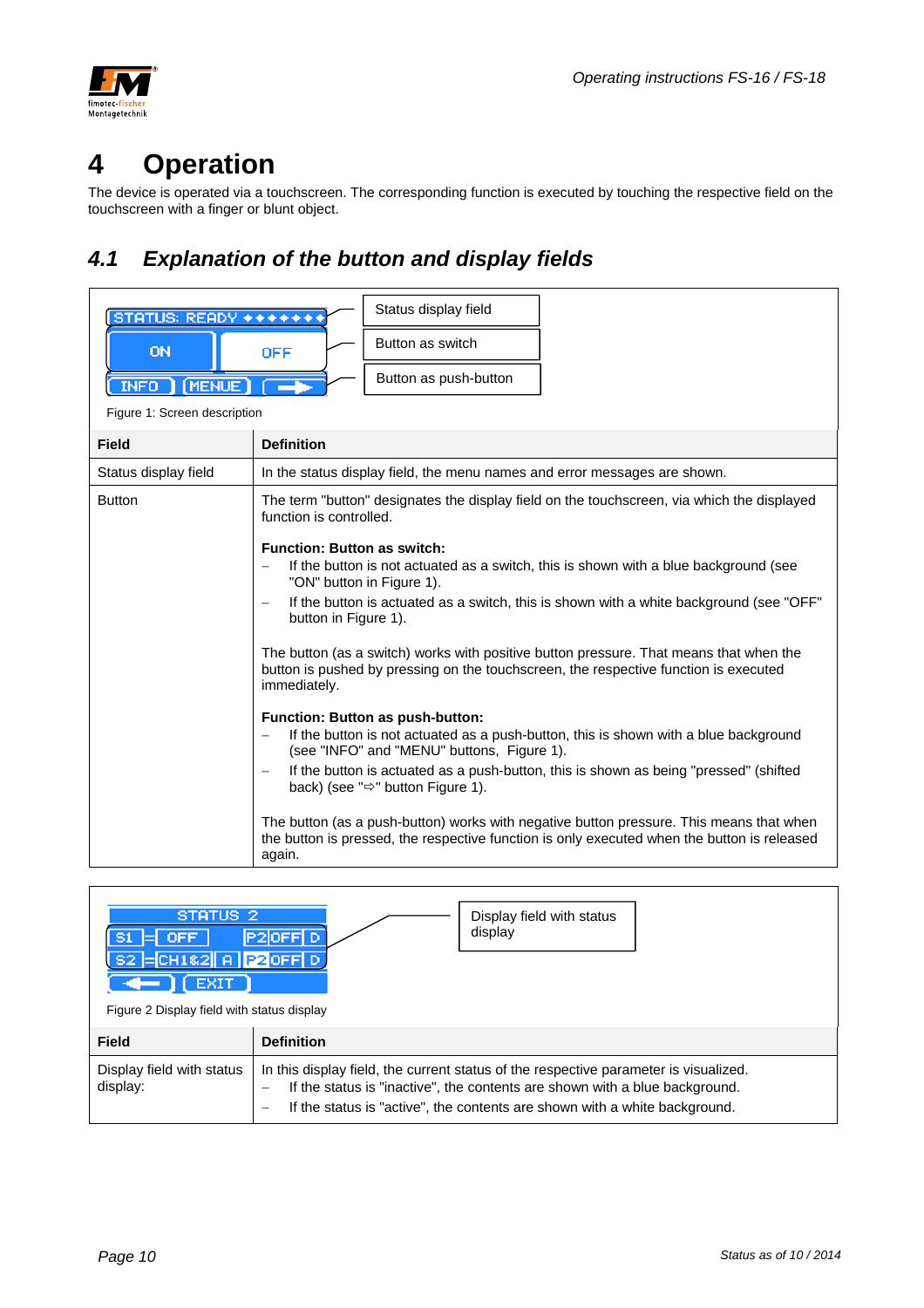

## **4 Operation**

The device is operated via a touchscreen. The corresponding function is executed by touching the respective field on the touchscreen with a finger or blunt object.

## *4.1 Explanation of the button and display fields*

| STATUS: READY *******        | Status display field                                                                                                                                                                                                                                                                                                                                                                                                                                                                                                                         |
|------------------------------|----------------------------------------------------------------------------------------------------------------------------------------------------------------------------------------------------------------------------------------------------------------------------------------------------------------------------------------------------------------------------------------------------------------------------------------------------------------------------------------------------------------------------------------------|
| <b>ON</b>                    | Button as switch<br><b>OFF</b>                                                                                                                                                                                                                                                                                                                                                                                                                                                                                                               |
| [MENUE]<br>INFO ]            | Button as push-button                                                                                                                                                                                                                                                                                                                                                                                                                                                                                                                        |
| Figure 1: Screen description |                                                                                                                                                                                                                                                                                                                                                                                                                                                                                                                                              |
| <b>Field</b>                 | <b>Definition</b>                                                                                                                                                                                                                                                                                                                                                                                                                                                                                                                            |
| Status display field         | In the status display field, the menu names and error messages are shown.                                                                                                                                                                                                                                                                                                                                                                                                                                                                    |
| <b>Button</b>                | The term "button" designates the display field on the touchscreen, via which the displayed<br>function is controlled.                                                                                                                                                                                                                                                                                                                                                                                                                        |
|                              | <b>Function: Button as switch:</b><br>If the button is not actuated as a switch, this is shown with a blue background (see<br>$\overline{\phantom{0}}$<br>"ON" button in Figure 1).<br>If the button is actuated as a switch, this is shown with a white background (see "OFF"<br>button in Figure 1).<br>The button (as a switch) works with positive button pressure. That means that when the<br>button is pushed by pressing on the touchscreen, the respective function is executed<br>immediately.<br>Function: Button as push-button: |
|                              | If the button is not actuated as a push-button, this is shown with a blue background<br>(see "INFO" and "MENU" buttons, Figure 1).<br>If the button is actuated as a push-button, this is shown as being "pressed" (shifted<br>$\overline{\phantom{m}}$<br>back) (see " $\Rightarrow$ " button Figure 1).                                                                                                                                                                                                                                    |
|                              | The button (as a push-button) works with negative button pressure. This means that when<br>the button is pressed, the respective function is only executed when the button is released<br>again.                                                                                                                                                                                                                                                                                                                                             |

| STATUS <sub>2</sub><br><b>OFF</b><br>$=$ CH182 $\parallel$ A $\parallel$ P2 OFF D | Display field with status<br>display<br>P2OFFI D                                                                                                                                                                                                                                        |  |
|-----------------------------------------------------------------------------------|-----------------------------------------------------------------------------------------------------------------------------------------------------------------------------------------------------------------------------------------------------------------------------------------|--|
| Figure 2 Display field with status display                                        |                                                                                                                                                                                                                                                                                         |  |
| <b>Field</b>                                                                      | <b>Definition</b>                                                                                                                                                                                                                                                                       |  |
| Display field with status<br>display:                                             | In this display field, the current status of the respective parameter is visualized.<br>If the status is "inactive", the contents are shown with a blue background.<br>$\qquad \qquad$<br>If the status is "active", the contents are shown with a white background.<br>$\qquad \qquad$ |  |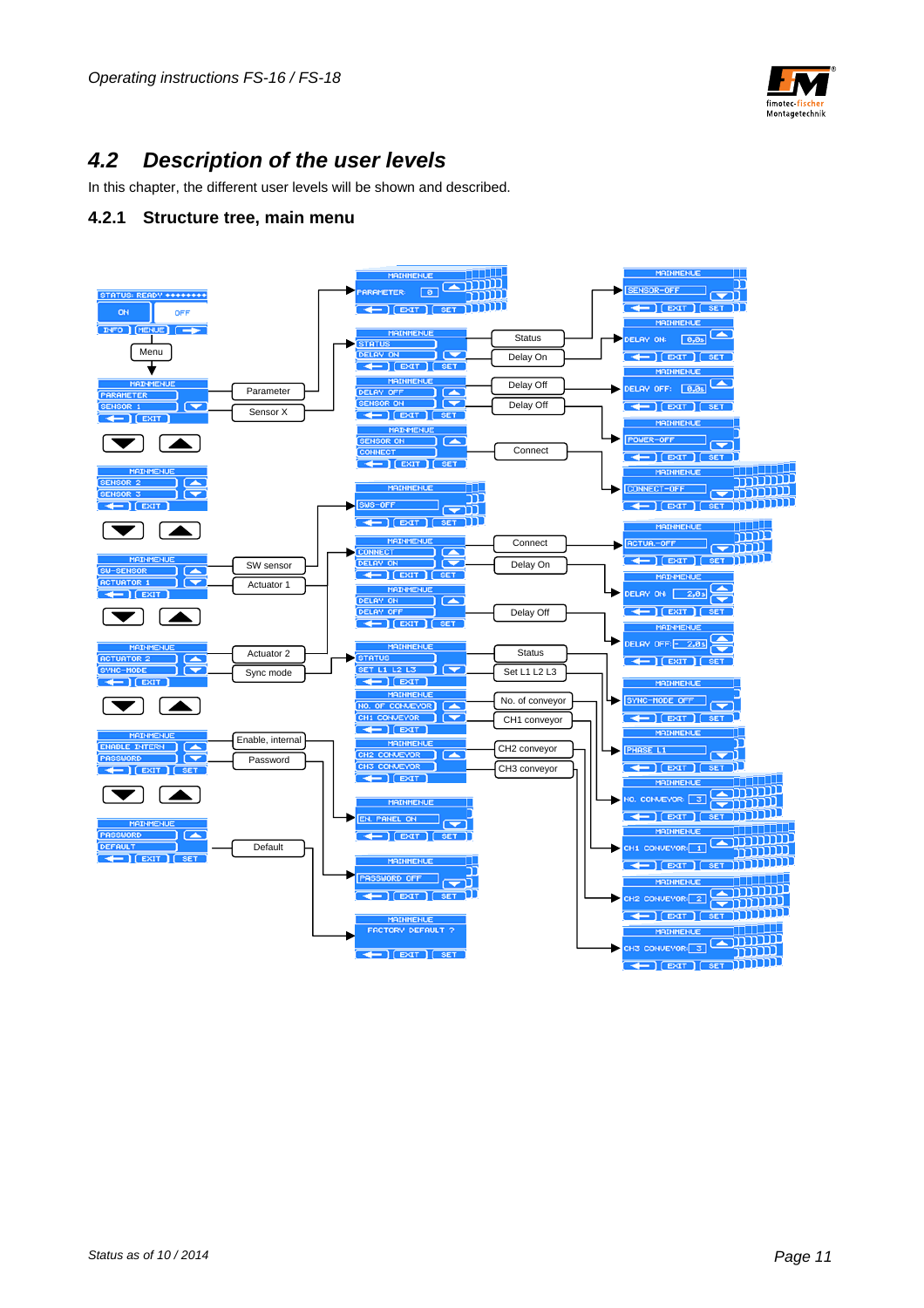

## *4.2 Description of the user levels*

In this chapter, the different user levels will be shown and described.

#### **4.2.1 Structure tree, main menu**

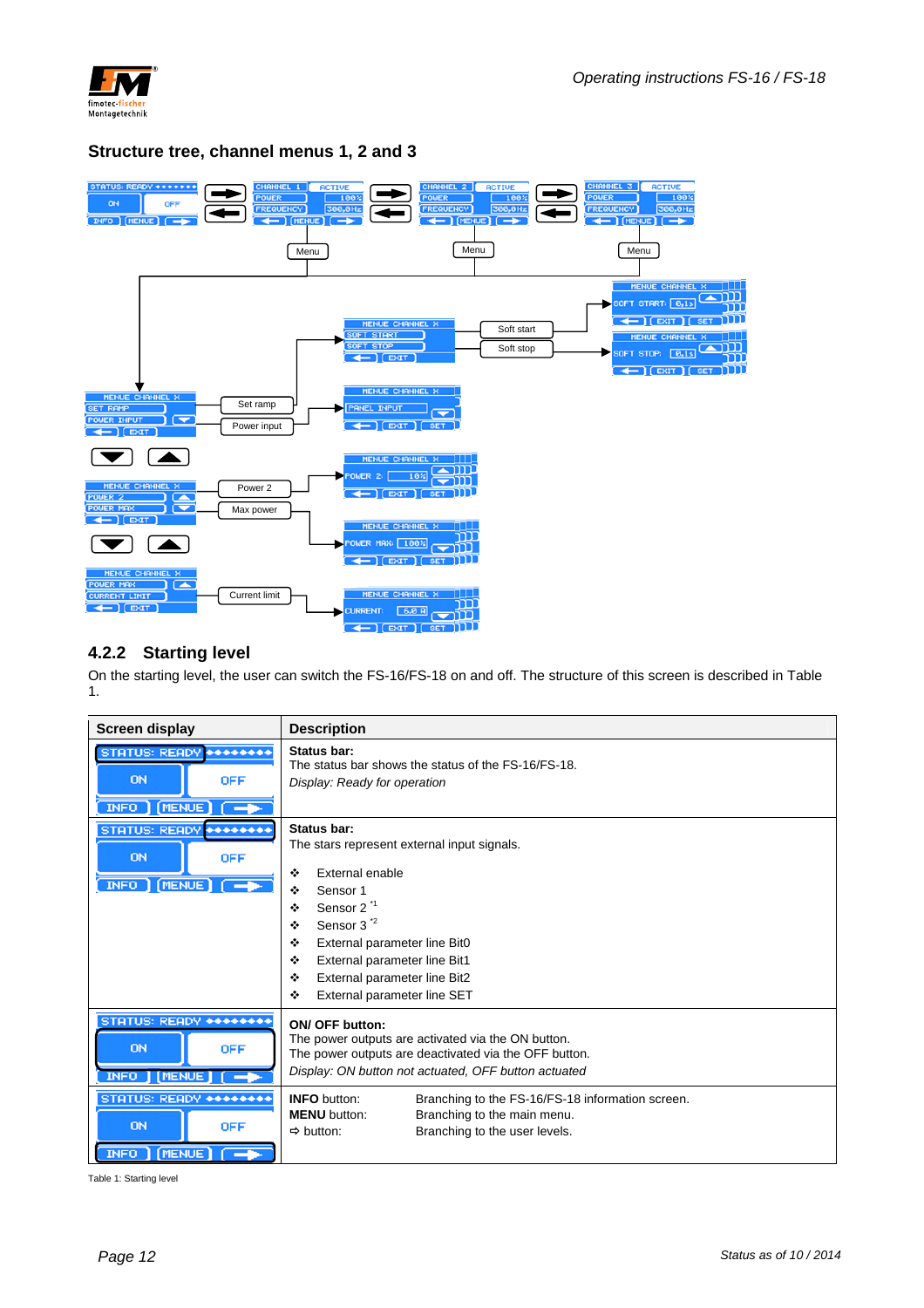

#### **Structure tree, channel menus 1, 2 and 3**



#### **4.2.2 Starting level**

On the starting level, the user can switch the FS-16/FS-18 on and off. The structure of this screen is described in Table 1.

| Screen display                                                             | <b>Description</b>                                                                                                                                                                                                                                                                                                         |  |
|----------------------------------------------------------------------------|----------------------------------------------------------------------------------------------------------------------------------------------------------------------------------------------------------------------------------------------------------------------------------------------------------------------------|--|
| STATUS: READY ********<br><b>ON</b><br><b>OFF</b><br>INFO   (MENUE)        | Status bar:<br>The status bar shows the status of the FS-16/FS-18.<br>Display: Ready for operation                                                                                                                                                                                                                         |  |
| STATUS: READY ********<br>ON<br><b>OFF</b><br>INFO (MENUE) (               | Status bar:<br>The stars represent external input signals.<br>External enable<br>٠<br>❖<br>Sensor 1<br>Sensor 2 <sup>1</sup><br>٠<br>Sensor 3 <sup>2</sup><br>$\bullet$<br>÷<br>External parameter line Bit0<br>External parameter line Bit1<br>÷<br>External parameter line Bit2<br>÷<br>External parameter line SET<br>÷ |  |
| STATUS: READY ********<br>ON<br><b>OFF</b><br>[MENUE]<br>INFO <sub>I</sub> | <b>ON/ OFF button:</b><br>The power outputs are activated via the ON button.<br>The power outputs are deactivated via the OFF button.<br>Display: ON button not actuated, OFF button actuated                                                                                                                              |  |
| STATUS: READY ********<br>ON<br><b>OFF</b><br>[MENUE]<br><b>INFO</b>       | <b>INFO</b> button:<br>Branching to the FS-16/FS-18 information screen.<br>Branching to the main menu.<br><b>MENU</b> button:<br>Branching to the user levels.<br>$\Rightarrow$ button:                                                                                                                                    |  |

Table 1: Starting level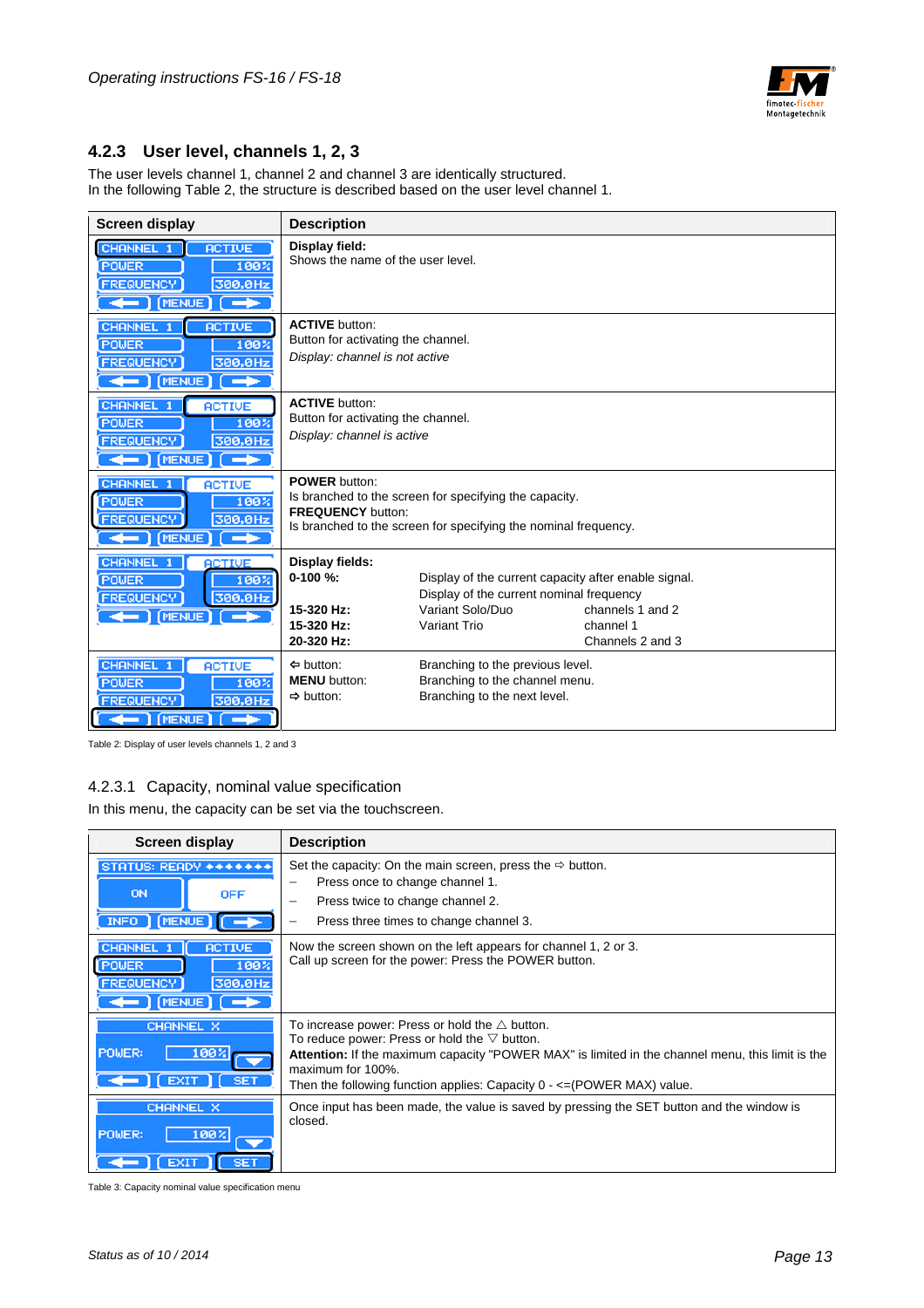

#### **4.2.3 User level, channels 1, 2, 3**

The user levels channel 1, channel 2 and channel 3 are identically structured. In the following Table 2, the structure is described based on the user level channel 1.

| <b>Screen display</b>                                                                                                      | <b>Description</b>                                                                            |                                                                                                                                      |                                                   |
|----------------------------------------------------------------------------------------------------------------------------|-----------------------------------------------------------------------------------------------|--------------------------------------------------------------------------------------------------------------------------------------|---------------------------------------------------|
| CHANNEL 1<br><b>ACTIVE</b><br>100%<br>POWER<br><b>FREQUENCY</b><br>300,0Hz<br>$\leftarrow$ (MENUE)<br>г—⊭                  | Display field:<br>Shows the name of the user level.                                           |                                                                                                                                      |                                                   |
| CHANNEL 1<br><b>ACTIVE</b><br>POWER<br>100%<br><b>FREQUENCY</b><br>300,0Hz<br>$\leftarrow$ (MENUE)<br><b>C-P</b>           | <b>ACTIVE</b> button:<br>Button for activating the channel.<br>Display: channel is not active |                                                                                                                                      |                                                   |
| CHANNEL 1<br><b>ACTIVE</b><br><b>POWER</b><br>100%<br><b>FREQUENCY</b><br>300,0Hz<br>$\leftarrow$ (MENUE)<br>$\rightarrow$ | <b>ACTIVE button:</b><br>Button for activating the channel.<br>Display: channel is active     |                                                                                                                                      |                                                   |
| CHANNEL 1<br><b>ACTIVE</b><br>POWER<br>100%<br><b>FREQUENCY</b><br>300,0Hz<br>[MENUE]<br><b>1 - 1 -</b><br>╼               | <b>POWER</b> button:<br><b>FREQUENCY button:</b>                                              | Is branched to the screen for specifying the capacity.<br>Is branched to the screen for specifying the nominal frequency.            |                                                   |
| CHANNEL 1<br><b>ACTIVE</b><br>POWER<br>100%<br>300,0Hz<br><b>FREQUENCY</b><br>$\leftarrow$ (MENUE)                         | Display fields:<br>$0-100 \%$<br>15-320 Hz:<br>15-320 Hz:<br>20-320 Hz:                       | Display of the current capacity after enable signal.<br>Display of the current nominal frequency<br>Variant Solo/Duo<br>Variant Trio | channels 1 and 2<br>channel 1<br>Channels 2 and 3 |
| CHANNEL 1<br><b>ACTIVE</b><br>POWER<br>100%<br><b>FREQUENCY</b><br>300,0Hz<br>[MENUE]<br>÷<br>$\leftarrow$                 | $\Leftrightarrow$ button:<br><b>MENU</b> button:<br>$\Rightarrow$ button:                     | Branching to the previous level.<br>Branching to the channel menu.<br>Branching to the next level.                                   |                                                   |

Table 2: Display of user levels channels 1, 2 and 3

#### 4.2.3.1 Capacity, nominal value specification

In this menu, the capacity can be set via the touchscreen.

| Screen display                                                                                                               | <b>Description</b>                                                                                                                                                                                                                                                                                                      |  |
|------------------------------------------------------------------------------------------------------------------------------|-------------------------------------------------------------------------------------------------------------------------------------------------------------------------------------------------------------------------------------------------------------------------------------------------------------------------|--|
| STATUS: READY *******<br>ON<br><b>OFF</b><br>INFO MENUE                                                                      | Set the capacity: On the main screen, press the $\Rightarrow$ button.<br>Press once to change channel 1.<br>$\overline{\phantom{0}}$<br>Press twice to change channel 2.<br>Press three times to change channel 3.                                                                                                      |  |
| <b>CHANNEL</b><br><b>ACTIVE</b><br>100%<br><b>POWER</b><br><b>FREQUENCY</b><br>300,0Hz<br>$\leftarrow$ (MENUE) $\rightarrow$ | Now the screen shown on the left appears for channel 1, 2 or 3.<br>Call up screen for the power: Press the POWER button.                                                                                                                                                                                                |  |
| <b>CHANNEL X</b><br>POWER:<br>100<br><b>EXIT</b><br><b>SET</b>                                                               | To increase power: Press or hold the $\triangle$ button.<br>To reduce power: Press or hold the $\nabla$ button.<br>Attention: If the maximum capacity "POWER MAX" is limited in the channel menu, this limit is the<br>maximum for 100%.<br>Then the following function applies: Capacity $0 - \leq (POWER MAX)$ value. |  |
| CHANNEL X<br>100%<br>POWER:                                                                                                  | Once input has been made, the value is saved by pressing the SET button and the window is<br>closed.                                                                                                                                                                                                                    |  |

Table 3: Capacity nominal value specification menu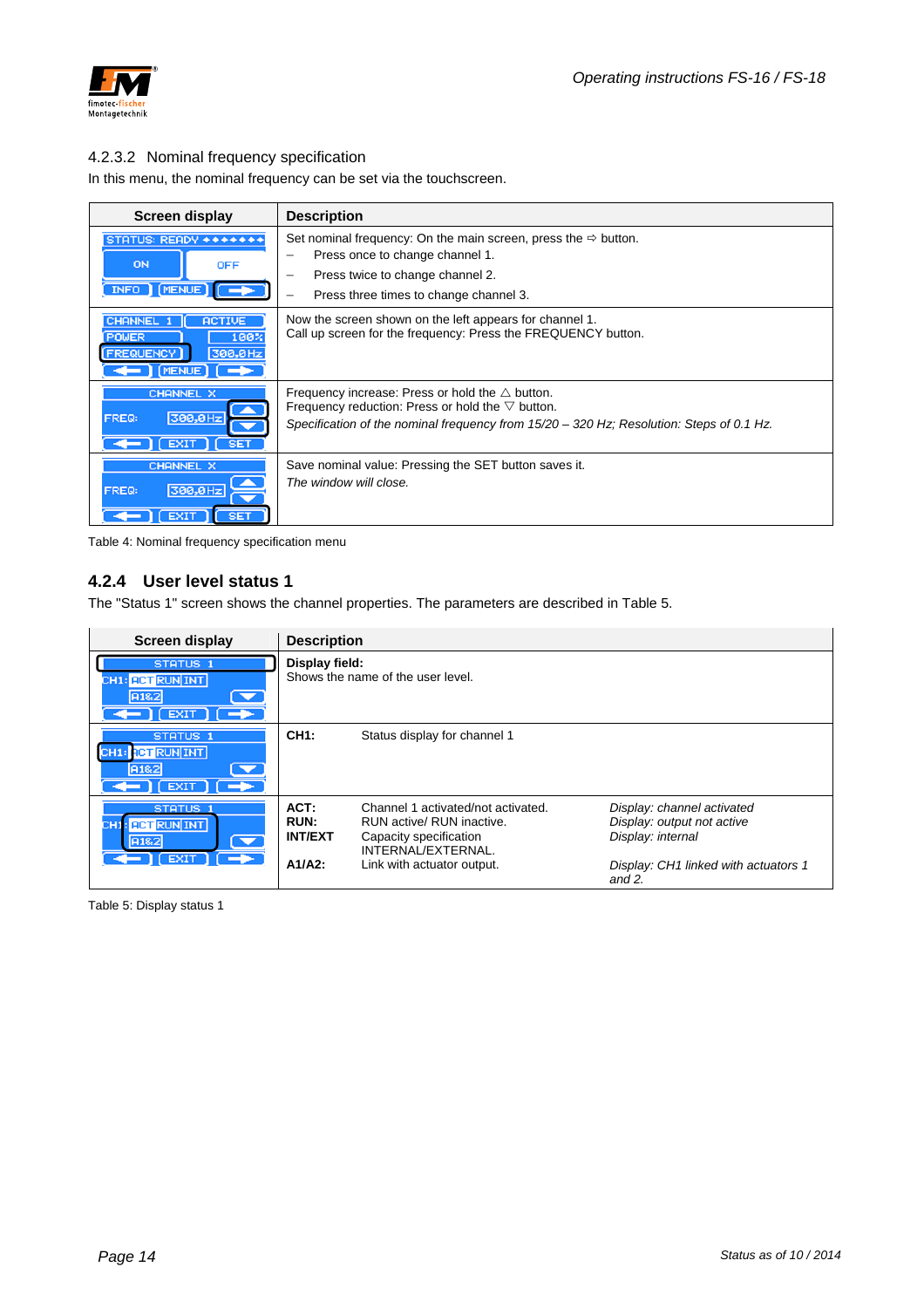

#### 4.2.3.2 Nominal frequency specification

In this menu, the nominal frequency can be set via the touchscreen.

| <b>Screen display</b>                                                                                                                   | <b>Description</b>                                                                                                                                                                                               |
|-----------------------------------------------------------------------------------------------------------------------------------------|------------------------------------------------------------------------------------------------------------------------------------------------------------------------------------------------------------------|
| STATUS: READY *******<br>ON<br><b>OFF</b><br>INFO   MENUE                                                                               | Set nominal frequency: On the main screen, press the $\Rightarrow$ button.<br>Press once to change channel 1.<br>Press twice to change channel 2.<br>Press three times to change channel 3.                      |
| <b>CHANNEL</b><br><b>ACTIVE</b><br>100 <sub>2</sub><br><b>POWER</b><br>300,0Hz<br><b>FREQUENCY</b><br>$\leftarrow$ MENUE) $\rightarrow$ | Now the screen shown on the left appears for channel 1.<br>Call up screen for the frequency: Press the FREQUENCY button.                                                                                         |
| CHANNEL X<br>300,0Hz<br>FREQ:<br><b>SET</b><br><b>EXIT</b>                                                                              | Frequency increase: Press or hold the $\triangle$ button.<br>Frequency reduction: Press or hold the $\nabla$ button.<br>Specification of the nominal frequency from 15/20 - 320 Hz; Resolution: Steps of 0.1 Hz. |
| <b>CHANNEL X</b><br>300,0Hz<br>FREQ:<br><b>SET</b><br><b>EXIT</b>                                                                       | Save nominal value: Pressing the SET button saves it.<br>The window will close.                                                                                                                                  |

Table 4: Nominal frequency specification menu

#### **4.2.4 User level status 1**

The "Status 1" screen shows the channel properties. The parameters are described in Table 5.

| Screen display                                                              | <b>Description</b>                          |                                                                                                                                               |                                                                                                                                    |
|-----------------------------------------------------------------------------|---------------------------------------------|-----------------------------------------------------------------------------------------------------------------------------------------------|------------------------------------------------------------------------------------------------------------------------------------|
| STATUS <sub>1</sub><br>CH1: <b>ACT RUN INT</b><br>A1&2<br>EXIT <sup>1</sup> | Display field:                              | Shows the name of the user level.                                                                                                             |                                                                                                                                    |
| STATUS <sub>1</sub><br>CH1: RET RUN INT<br>▼<br>A1&2<br>EXIT <sup>1</sup>   | <b>CH1:</b>                                 | Status display for channel 1                                                                                                                  |                                                                                                                                    |
| STATUS <sub>1</sub><br>CH1: RCT RUN INT<br>A1&2<br>▼<br><b>EXIT</b>         | ACT:<br>RUN:<br><b>INT/EXT</b><br>$A1/A2$ : | Channel 1 activated/not activated.<br>RUN active/ RUN inactive.<br>Capacity specification<br>INTERNAL/EXTERNAL.<br>Link with actuator output. | Display: channel activated<br>Display: output not active<br>Display: internal<br>Display: CH1 linked with actuators 1<br>and $2$ . |

Table 5: Display status 1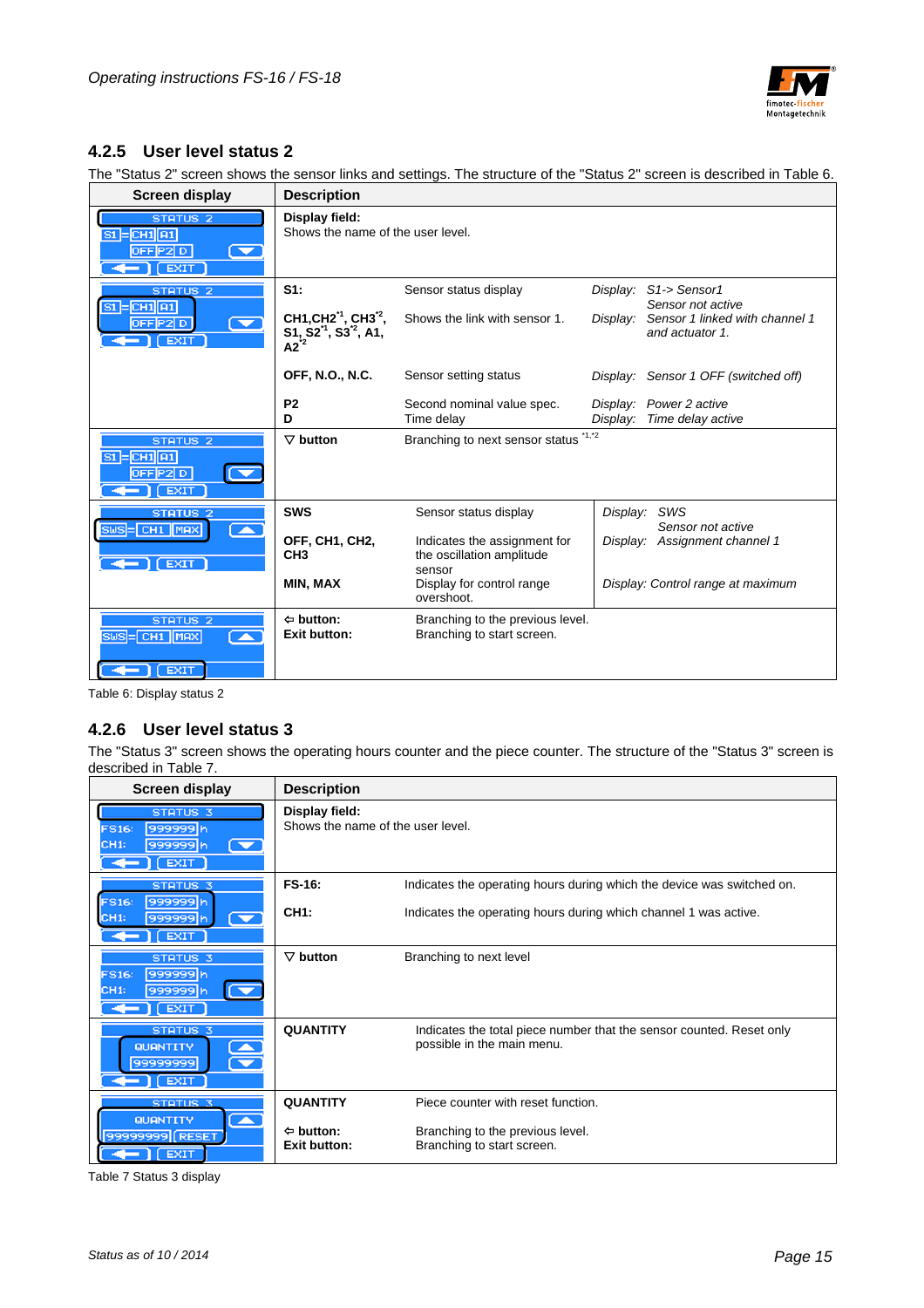

### **4.2.5 User level status 2**

The "Status 2" screen shows the sensor links and settings. The structure of the "Status 2" screen is described in Table 6.

| Screen display                                                                                 | <b>Description</b>                                                      |                                                                     |          |                                                   |  |  |  |
|------------------------------------------------------------------------------------------------|-------------------------------------------------------------------------|---------------------------------------------------------------------|----------|---------------------------------------------------|--|--|--|
| STATUS <sub>2</sub><br>$ST = CH1$ $11$<br>OFF[P2] D<br>$\blacktriangledown$<br>$\Gamma$ [ EXIT | Display field:<br>Shows the name of the user level.                     |                                                                     |          |                                                   |  |  |  |
| STATUS <sub>2</sub><br>$SI = CH1   A1$                                                         | S1:                                                                     | Sensor status display                                               | Display: | S1-> Sensor1<br>Sensor not active                 |  |  |  |
| OFF[P2]D<br><b>EXIT</b>                                                                        | CH1, CH2 <sup>-1</sup> , CH3 <sup>-2</sup> ,<br>$S1, S21, S32, A1, A22$ | Shows the link with sensor 1.                                       | Display: | Sensor 1 linked with channel 1<br>and actuator 1. |  |  |  |
|                                                                                                | <b>OFF, N.O., N.C.</b>                                                  | Sensor setting status                                               |          | Display: Sensor 1 OFF (switched off)              |  |  |  |
|                                                                                                | P <sub>2</sub>                                                          | Second nominal value spec.                                          |          | Display: Power 2 active                           |  |  |  |
|                                                                                                | D                                                                       | Time delay                                                          | Display: | Time delay active                                 |  |  |  |
| STATUS <sub>2</sub><br>$SI = CH1$ $RI$<br>OFF[P2] D<br><b>EXIT</b>                             | $\nabla$ button                                                         | Branching to next sensor status                                     | $*1, *2$ |                                                   |  |  |  |
| STATUS <sub>2</sub><br>SWS = CH1 MAX                                                           | <b>SWS</b>                                                              | Sensor status display                                               | Display: | SWS<br>Sensor not active                          |  |  |  |
| ExIT                                                                                           | OFF, CH1, CH2,<br>CH <sub>3</sub>                                       | Indicates the assignment for<br>the oscillation amplitude<br>sensor |          | Display: Assignment channel 1                     |  |  |  |
|                                                                                                | <b>MIN, MAX</b>                                                         | Display for control range<br>overshoot.                             |          | Display: Control range at maximum                 |  |  |  |
| STATUS <sub>2</sub><br>SWS-CH1 MAX<br><b>EXIT</b>                                              | $\Leftrightarrow$ button:<br><b>Exit button:</b>                        | Branching to the previous level.<br>Branching to start screen.      |          |                                                   |  |  |  |

Table 6: Display status 2

#### **4.2.6 User level status 3**

The "Status 3" screen shows the operating hours counter and the piece counter. The structure of the "Status 3" screen is described in Table 7.

| <b>Screen display</b>                                                                                           | <b>Description</b>                                  |                                                                                                    |
|-----------------------------------------------------------------------------------------------------------------|-----------------------------------------------------|----------------------------------------------------------------------------------------------------|
| STATUS <sub>3</sub><br>999999h<br>FS16:<br>CH <sub>1</sub> :<br>999999h<br>$\blacktriangledown$<br>$[$ EXIT $]$ | Display field:<br>Shows the name of the user level. |                                                                                                    |
| <b>STATUS 3</b>                                                                                                 | <b>FS-16:</b>                                       | Indicates the operating hours during which the device was switched on.                             |
| 999999h<br>FS16:<br>CH <sub>1</sub> :<br>999999h<br>EXIT ]                                                      | <b>CH1:</b>                                         | Indicates the operating hours during which channel 1 was active.                                   |
| STATUS <sub>3</sub><br>999999h<br>FS16:<br>999999h<br>CH <sub>1</sub> :<br>[EXIT]                               | $\nabla$ button                                     | Branching to next level                                                                            |
| <b>STATUS 3</b><br>QUANTITY<br>99999999<br>EXIT <sub></sub>                                                     | <b>QUANTITY</b>                                     | Indicates the total piece number that the sensor counted. Reset only<br>possible in the main menu. |
| <b>STATUS 3</b>                                                                                                 | <b>QUANTITY</b>                                     | Piece counter with reset function.                                                                 |
| <b>QUANTITY</b><br>$\blacktriangle$<br>99999999 (RESET<br>E XIT                                                 | $\Leftrightarrow$ button:<br><b>Exit button:</b>    | Branching to the previous level.<br>Branching to start screen.                                     |

Table 7 Status 3 display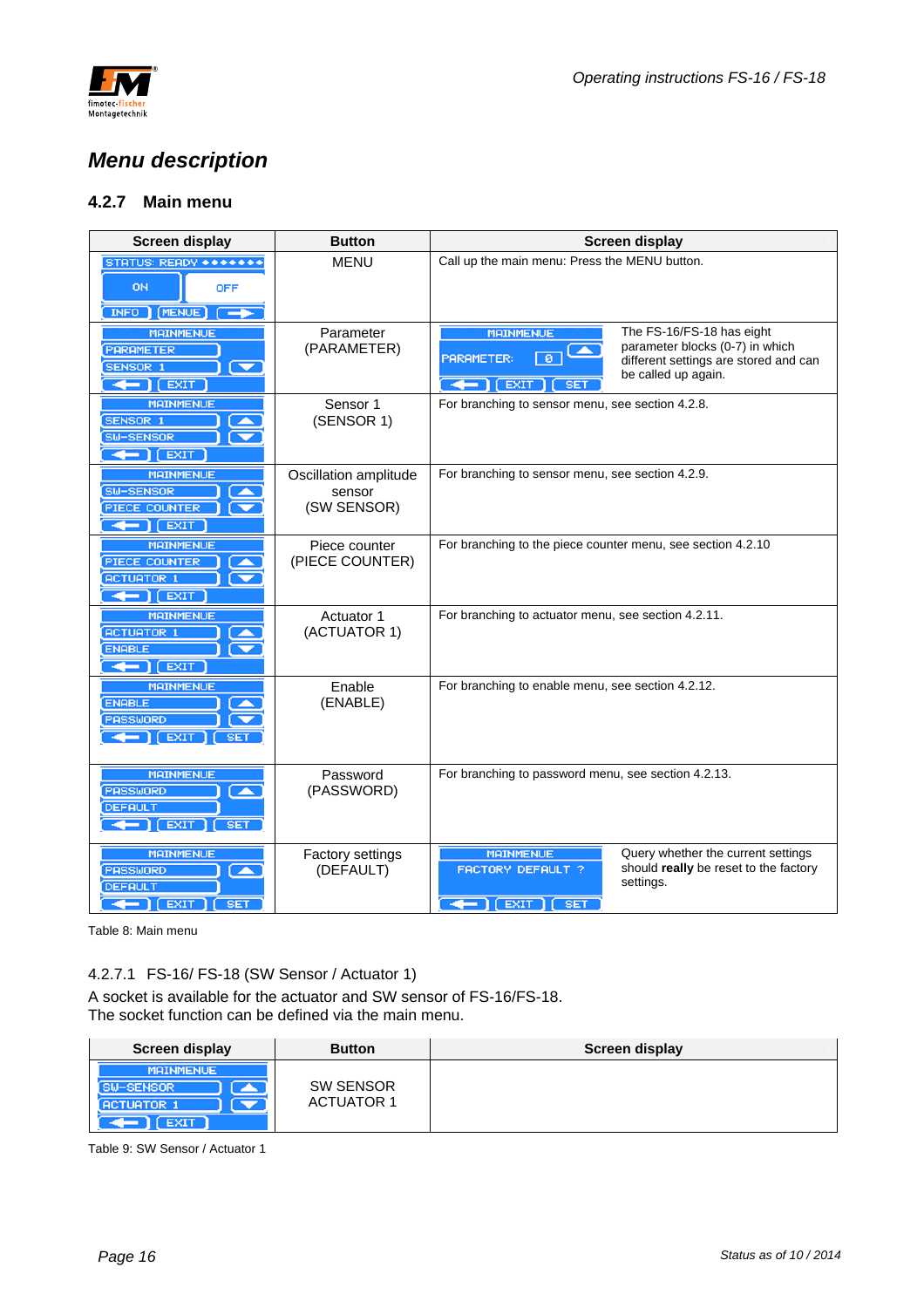

## *Menu description*

### **4.2.7 Main menu**

| <b>Screen display</b>                                                                                                           | <b>Button</b>                                  | <b>Screen display</b>                                                                                                                                                                                        |  |  |
|---------------------------------------------------------------------------------------------------------------------------------|------------------------------------------------|--------------------------------------------------------------------------------------------------------------------------------------------------------------------------------------------------------------|--|--|
| STATUS: READY *******<br><b>ON</b><br><b>OFF</b><br>INFO ] (MENUE)<br>-                                                         | <b>MENU</b>                                    | Call up the main menu: Press the MENU button.                                                                                                                                                                |  |  |
| <b>MAINMENUE</b><br><b>PARAMETER</b><br><b>SENSOR 1</b><br>$\blacktriangledown$<br>$\leftarrow$ [ EXIT                          | Parameter<br>(PARAMETER)                       | <b>MAINMENUE</b><br>The FS-16/FS-18 has eight<br>parameter blocks (0-7) in which<br><b>PARAMETER:</b><br>ø<br>different settings are stored and can<br>be called up again.<br><b>EXIT</b><br>-<br><b>SET</b> |  |  |
| <b>MAINMENUE</b><br>SENSOR 1<br>SW-SENSOR<br>$\leftarrow$ $\leftarrow$ $\leftarrow$ $\leftarrow$                                | Sensor 1<br>(SENSOR 1)                         | For branching to sensor menu, see section 4.2.8.                                                                                                                                                             |  |  |
| <b>MAINMENUE</b><br>SW-SENSOR<br>PIECE COUNTER<br>$\leftarrow$ $\left($ EXIT                                                    | Oscillation amplitude<br>sensor<br>(SW SENSOR) | For branching to sensor menu, see section 4.2.9.                                                                                                                                                             |  |  |
| <b>MAINMENUE</b><br>PIECE COUNTER<br><b>ACTUATOR 1</b><br>$\leftarrow$ $\leftarrow$ $\leftarrow$                                | Piece counter<br>(PIECE COUNTER)               | For branching to the piece counter menu, see section 4.2.10                                                                                                                                                  |  |  |
| <b>MAINMENUE</b><br><b>ACTUATOR 1</b><br><b>ENABLE</b><br>$\leftarrow$ $\leftarrow$ $\leftarrow$                                | Actuator 1<br>(ACTUATOR 1)                     | For branching to actuator menu, see section 4.2.11.                                                                                                                                                          |  |  |
| <b>MAINMENUE</b><br><b>ENABLE</b><br><b>PASSWORD</b><br>$\leftarrow$ $\left(\text{exit}\right)$<br><b>SET</b>                   | Enable<br>(ENABLE)                             | For branching to enable menu, see section 4.2.12.                                                                                                                                                            |  |  |
| <b>MAINMENUE</b><br>PASSWORD<br>$\overline{\phantom{a}}$<br><b>DEFAULT</b><br>$\leftarrow$ [EXIT]<br>SET                        | Password<br>(PASSWORD)                         | For branching to password menu, see section 4.2.13.                                                                                                                                                          |  |  |
| <b>MAINMENUE</b><br>PASSWORD<br>$\blacktriangleright$<br><b>DEFAULT</b><br>$\leftarrow$ $\left  \right $ [ EXIT ]<br><b>SET</b> | <b>Factory settings</b><br>(DEFAULT)           | <b>MAINMENUE</b><br>Query whether the current settings<br>should really be reset to the factory<br>FACTORY DEFAULT ?<br>settings.<br>$\leftarrow$ [EXIT]<br><b>SET</b>                                       |  |  |

Table 8: Main menu

#### 4.2.7.1 FS-16/ FS-18 (SW Sensor / Actuator 1)

A socket is available for the actuator and SW sensor of FS-16/FS-18. The socket function can be defined via the main menu.

| Screen display                                                         | <b>Button</b>                         | <b>Screen display</b> |
|------------------------------------------------------------------------|---------------------------------------|-----------------------|
| <b>MAINMENUE</b><br>SW-SENSOR<br>∽<br><b>ACTUATOR 1</b><br><b>EXIT</b> | <b>SW SENSOR</b><br><b>ACTUATOR 1</b> |                       |

Table 9: SW Sensor / Actuator 1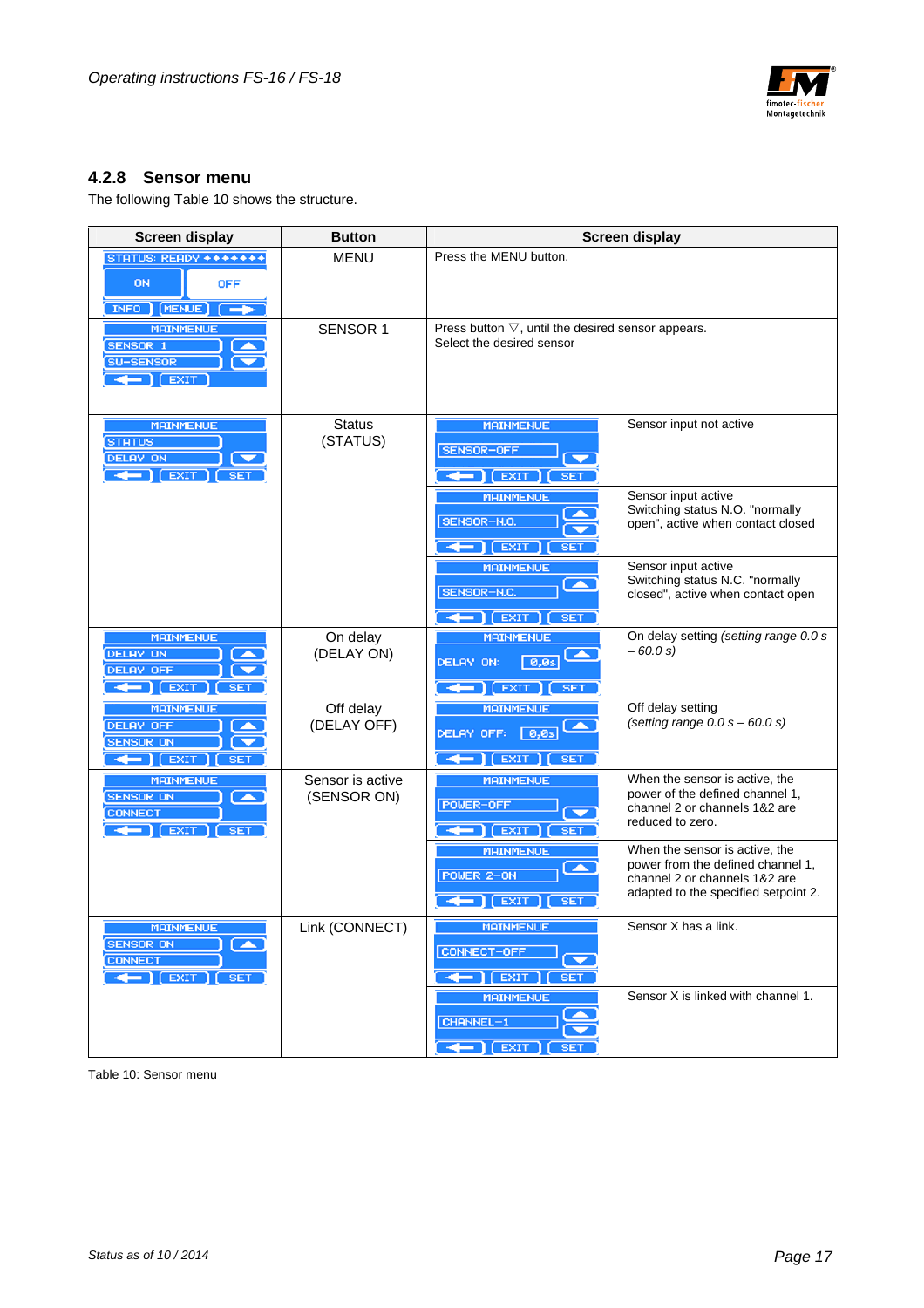

#### **4.2.8 Sensor menu**

The following Table 10 shows the structure.

| <b>Screen display</b>                                                                                                                | <b>Button</b>                   |                                                                                        | <b>Screen display</b>                                                                                                                        |
|--------------------------------------------------------------------------------------------------------------------------------------|---------------------------------|----------------------------------------------------------------------------------------|----------------------------------------------------------------------------------------------------------------------------------------------|
| STATUS: READY *******<br><b>ON</b><br><b>OFF</b><br>INFO   MENUE                                                                     | <b>MENU</b>                     | Press the MENU button.                                                                 |                                                                                                                                              |
| <b>MAINMENUE</b><br><b>SENSOR 1</b><br>SW-SENSOR<br>$\leftarrow$ $\left  \right $ [ EXIT                                             | <b>SENSOR 1</b>                 | Press button $\nabla$ , until the desired sensor appears.<br>Select the desired sensor |                                                                                                                                              |
| <b>MAINMENUE</b><br><b>STATUS</b><br>DELAY ON<br>$\leftarrow$ $\left($ EXIT $\right)$ $\left($ SET                                   | Status<br>(STATUS)              | <b>MAINMENUE</b><br>SENSOR-OFF<br>EXIT <sub></sub><br><b>SET</b>                       | Sensor input not active                                                                                                                      |
|                                                                                                                                      |                                 | <b>MAINMENUE</b><br>SENSOR-N.O.<br><b>EXIT</b><br>SE <sub>1</sub>                      | Sensor input active<br>Switching status N.O. "normally<br>open", active when contact closed                                                  |
|                                                                                                                                      |                                 | <b>MAINMENUE</b><br>SENSOR-N.C.<br>$\leftarrow$ $\left[\right]$ [ EXIT<br><b>SET</b>   | Sensor input active<br>Switching status N.C. "normally<br>closed", active when contact open                                                  |
| <b>MAINMENUE</b><br><b>DELAY ON</b><br><b>DELAY OFF</b><br>$\leftarrow$ [EXIT ]<br><b>SE</b>                                         | On delay<br>(DELAY ON)          | <b>MAINMENUE</b><br>DELAY ON:<br>0,0s<br><b>EXIT</b><br>$\leftarrow$<br><b>SET</b>     | On delay setting (setting range 0.0 s<br>$-60.0 s$                                                                                           |
| <b>MAINMENUE</b><br><b>DELAY OFF</b><br><b>SENSOR ON</b><br>$\leftarrow$ $\left[\right]$ [ EXIT $\left[\right]$<br>SET               | Off delay<br>(DELAY OFF)        | <b>MAINMENUE</b><br>$\sqrt{0.05}$<br>DELAY OFF:<br>$1$ (EXIT<br><b>SET</b>             | Off delay setting<br>(setting range $0.0 s - 60.0 s$ )                                                                                       |
| <b>MAINMENUE</b><br><b>SENSOR ON</b><br>$\blacktriangleright$<br><b>CONNECT</b><br>$\leftarrow$ $\left($ EXIT $\right)$ $\left($ SET | Sensor is active<br>(SENSOR ON) | <b>MAINMENUE</b><br>POWER-OFF<br>[EXIT]<br><b>SET</b>                                  | When the sensor is active, the<br>power of the defined channel 1,<br>channel 2 or channels 1&2 are<br>reduced to zero.                       |
|                                                                                                                                      |                                 | <b>MAINMENUE</b><br>POWER 2-ON<br><b>EXIT</b><br>SE <sub>1</sub><br>╺╺                 | When the sensor is active, the<br>power from the defined channel 1,<br>channel 2 or channels 1&2 are<br>adapted to the specified setpoint 2. |
| <b>MAINMENUE</b><br><b>SENSOR ON</b><br>◚<br><b>CONNECT</b><br>$\leftarrow$ [EXIT] [ SET                                             | Link (CONNECT)                  | <b>MAINMENUE</b><br>CONNECT-OFF<br>$\leftarrow$ $\left($ EXIT $\right)$<br><b>SET</b>  | Sensor X has a link.                                                                                                                         |
|                                                                                                                                      |                                 | <b>MAINMENUE</b><br>CHANNEL-1<br>$\leftarrow$ [EXIT ]<br>SE <sub>1</sub>               | Sensor X is linked with channel 1.                                                                                                           |

Table 10: Sensor menu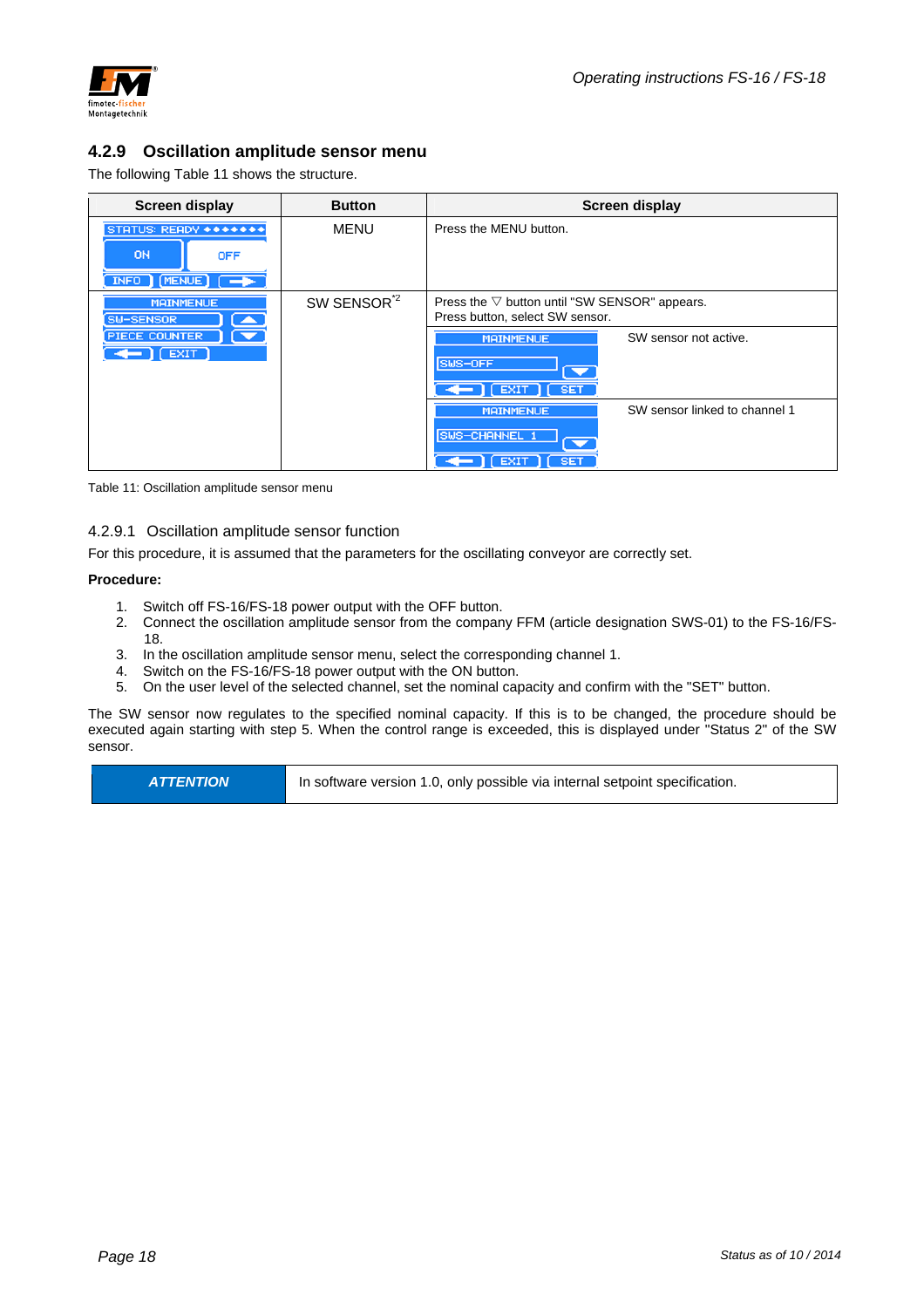

#### **4.2.9 Oscillation amplitude sensor menu**

The following Table 11 shows the structure.

| Screen display                                            | <b>Button</b>           | Screen display                                                                                                |  |  |  |
|-----------------------------------------------------------|-------------------------|---------------------------------------------------------------------------------------------------------------|--|--|--|
| STATUS: READY *******<br>ON<br><b>OFF</b><br>INFO MENUE - | <b>MENU</b>             | Press the MENU button.                                                                                        |  |  |  |
| <b>MAINMENUE</b><br>SW-SENSOR<br>┻                        | SW SENSOR <sup>72</sup> | Press the $\nabla$ button until "SW SENSOR" appears.<br>Press button, select SW sensor.                       |  |  |  |
| <b>PIECE COUNTER</b><br>$\Gamma$ [ EXIT ]                 |                         | SW sensor not active.<br><b>MAINMENUE</b><br>SWS-OFF<br>$\overline{\phantom{a}}$<br><b>EXIT</b><br><b>SET</b> |  |  |  |
|                                                           |                         | SW sensor linked to channel 1<br><b>MAINMENUE</b><br>SWS-CHANNEL 1<br>▼<br><b>SET</b><br><b>EXIT</b>          |  |  |  |

Table 11: Oscillation amplitude sensor menu

#### 4.2.9.1 Oscillation amplitude sensor function

For this procedure, it is assumed that the parameters for the oscillating conveyor are correctly set.

#### **Procedure:**

- 1. Switch off FS-16/FS-18 power output with the OFF button.
- 2. Connect the oscillation amplitude sensor from the company FFM (article designation SWS-01) to the FS-16/FS-18.
- 3. In the oscillation amplitude sensor menu, select the corresponding channel 1.
- 4. Switch on the FS-16/FS-18 power output with the ON button.
- 5. On the user level of the selected channel, set the nominal capacity and confirm with the "SET" button.

The SW sensor now regulates to the specified nominal capacity. If this is to be changed, the procedure should be executed again starting with step 5. When the control range is exceeded, this is displayed under "Status 2" of the SW sensor.

**ATTENTION In software version 1.0, only possible via internal setpoint specification.**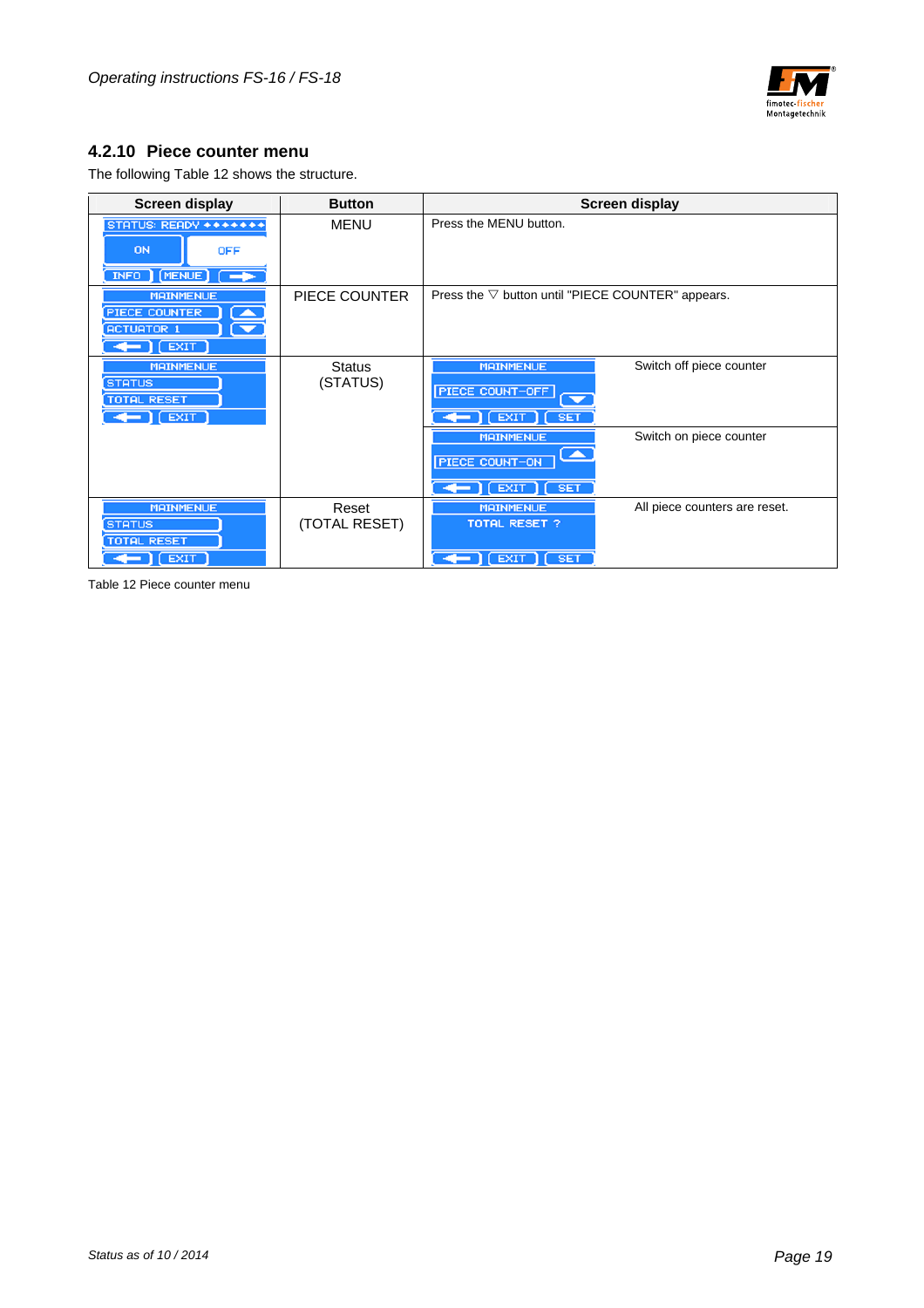

#### **4.2.10 Piece counter menu**

The following Table 12 shows the structure.

| <b>Screen display</b>                                                                         | <b>Button</b>             | <b>Screen display</b>                                                                                                               |
|-----------------------------------------------------------------------------------------------|---------------------------|-------------------------------------------------------------------------------------------------------------------------------------|
| STATUS: READY *******<br>ON<br><b>OFF</b><br>INFO   MENUE   P                                 | <b>MENU</b>               | Press the MENU button.                                                                                                              |
| <b>MAINMENUE</b><br><b>PIECE COUNTER</b><br><b>ACTUATOR 1</b><br>$ $ [ EXIT<br>33             | PIECE COUNTER             | Press the $\nabla$ button until "PIECE COUNTER" appears.                                                                            |
| <b>MAINMENUE</b><br><b>STATUS</b><br><b>TOTAL RESET</b><br>$\leftarrow$ [ EXIT ]              | <b>Status</b><br>(STATUS) | Switch off piece counter<br><b>MAINMENUE</b><br>PIECE COUNT-OFF<br>$\overline{\phantom{0}}$<br><b>SET</b><br><b>EXIT</b>            |
|                                                                                               |                           | <b>MAINMENUE</b><br>Switch on piece counter<br>$\overline{\phantom{a}}$<br>PIECE COUNT-ON<br>$\Gamma$ [ EXIT $\Gamma$<br><b>SET</b> |
| <b>MAINMENUE</b><br><b>STATUS</b><br><b>TOTAL RESET</b><br>$\leftarrow$ $\left  \right $ EXIT | Reset<br>(TOTAL RESET)    | <b>MAINMENUE</b><br>All piece counters are reset.<br><b>TOTAL RESET ?</b><br><b>EXIT</b><br>$\sqrt{SET}$                            |

Table 12 Piece counter menu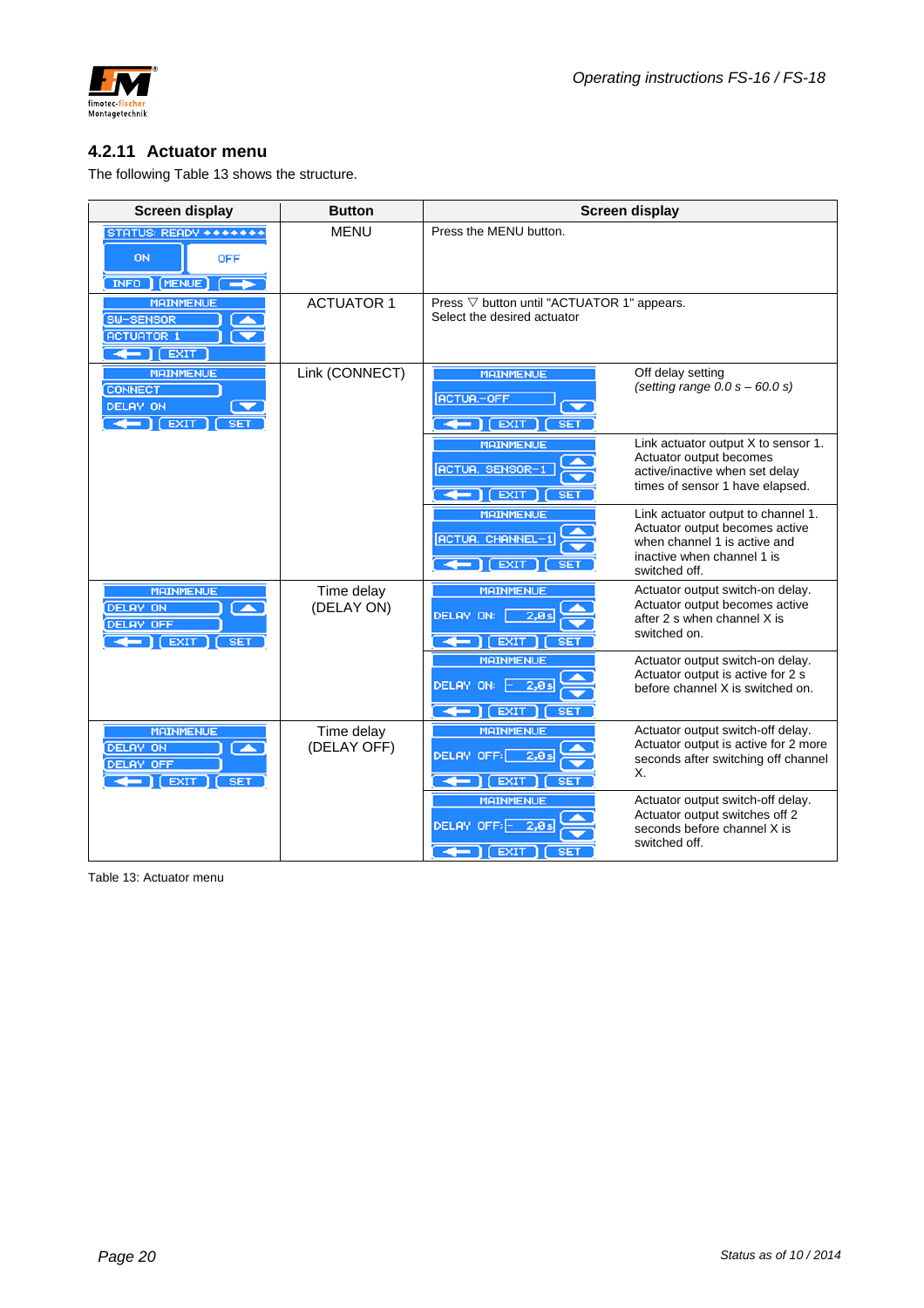

#### **4.2.11 Actuator menu**

The following Table 13 shows the structure.

| <b>Screen display</b>                                                                                                                                       | <b>Button</b>             |                                                                                                     | <b>Screen display</b>                                                                                                                               |
|-------------------------------------------------------------------------------------------------------------------------------------------------------------|---------------------------|-----------------------------------------------------------------------------------------------------|-----------------------------------------------------------------------------------------------------------------------------------------------------|
| STATUS: READY *******<br><b>ON</b><br><b>OFF</b><br>INFO   MENUE<br>$\overline{\phantom{a}}$                                                                | <b>MENU</b>               | Press the MENU button.                                                                              |                                                                                                                                                     |
| <b>MAINMENUE</b><br>SW-SENSOR<br><b>ACTUATOR 1</b><br>$\leftarrow$ $\leftarrow$ $\leftarrow$ $\leftarrow$                                                   | <b>ACTUATOR 1</b>         | Press $\nabla$ button until "ACTUATOR 1" appears.<br>Select the desired actuator                    |                                                                                                                                                     |
| <b>MAINMENUE</b><br><b>CONNECT</b><br>DELAY ON<br>$\overline{\phantom{0}}$<br>$\leftarrow$ $\left  \right $ $\left  \right $ $\left  \right $<br><b>SET</b> | Link (CONNECT)            | <b>MAINMENUE</b><br><b>ACTUA-OFF</b><br><b>EXIT</b><br><b>SET</b>                                   | Off delay setting<br>(setting range $0.0 s - 60.0 s$ )                                                                                              |
|                                                                                                                                                             |                           | <b>MAINMENUE</b><br><b>ACTUA. SENSOR-1</b><br>$\leftarrow$ 1 [ EXIT ]<br>SE <sub>1</sub>            | Link actuator output X to sensor 1.<br>Actuator output becomes<br>active/inactive when set delay<br>times of sensor 1 have elapsed.                 |
|                                                                                                                                                             |                           | <b>MAINMENUE</b><br><b>ACTUA. CHANNEL-1</b><br>$\leftarrow$ $\left($ EXIT $\right)$ (<br><b>SET</b> | Link actuator output to channel 1.<br>Actuator output becomes active<br>when channel 1 is active and<br>inactive when channel 1 is<br>switched off. |
| <b>MAINMENUE</b><br><b>DELAY ON</b><br>⊂▲<br><b>DELAY OFF</b><br><b>EXIT</b><br><b>SET</b>                                                                  | Time delay<br>(DELAY ON)  | <b>MAINMENUE</b><br>DELAY ON:<br>2,0s<br><b>EXIT</b><br><b>SET</b>                                  | Actuator output switch-on delay.<br>Actuator output becomes active<br>after 2 s when channel X is<br>switched on.                                   |
|                                                                                                                                                             |                           | <b>MAINMENUE</b><br>DELAY ON:<br>$-2,0s$<br><b>EXIT</b><br><b>SET</b><br>↞                          | Actuator output switch-on delay.<br>Actuator output is active for 2 s<br>before channel X is switched on.                                           |
| <b>MAINMENUE</b><br><b>DELAY ON</b><br><b>A</b><br><b>DELAY OFF</b><br><b>EXIT</b><br><b>SET</b><br><b>+</b>                                                | Time delay<br>(DELAY OFF) | <b>MAINMENUE</b><br>DELAY OFF:<br>2,0s<br><b>EXIT</b><br><b>SET</b>                                 | Actuator output switch-off delay.<br>Actuator output is active for 2 more<br>seconds after switching off channel<br>Χ.                              |
|                                                                                                                                                             |                           | <b>MAINMENUE</b><br>DELAY OFF: - 2,0s<br>EXIT<br>SE.                                                | Actuator output switch-off delay.<br>Actuator output switches off 2<br>seconds before channel X is<br>switched off.                                 |

Table 13: Actuator menu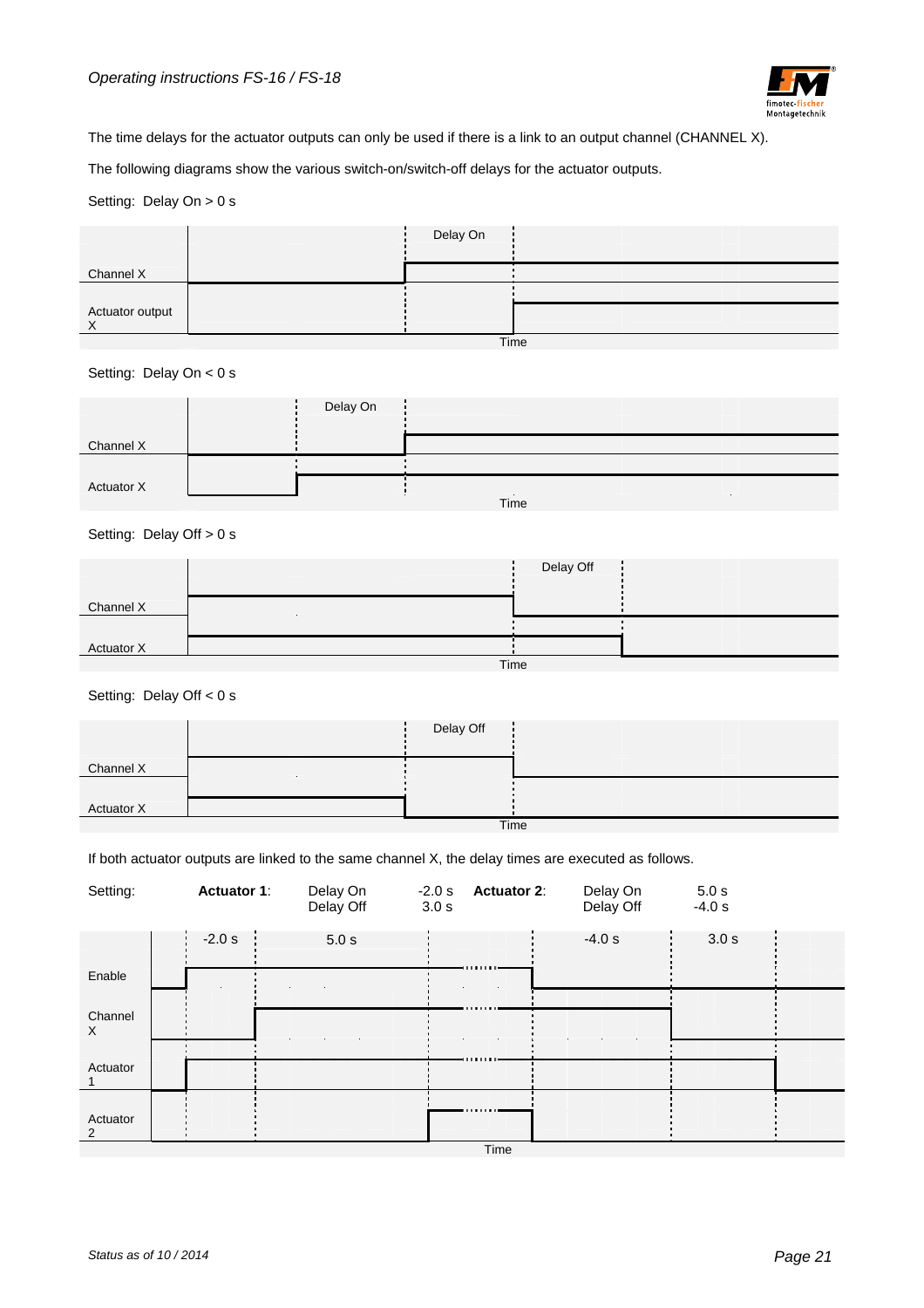

The time delays for the actuator outputs can only be used if there is a link to an output channel (CHANNEL X).

The following diagrams show the various switch-on/switch-off delays for the actuator outputs.

#### Setting: Delay On > 0 s

|                 |      | Delay On |  |  |  |  |
|-----------------|------|----------|--|--|--|--|
| Channel X       |      |          |  |  |  |  |
|                 |      |          |  |  |  |  |
| Actuator output |      |          |  |  |  |  |
|                 | Time |          |  |  |  |  |

Setting: Delay On < 0 s

|                   | Delay On |      |  |
|-------------------|----------|------|--|
|                   |          |      |  |
| Channel X         |          |      |  |
|                   |          |      |  |
|                   |          |      |  |
| <b>Actuator X</b> |          |      |  |
|                   |          | Time |  |

#### Setting: Delay Off > 0 s

|            |  |      | Delay Off |  |
|------------|--|------|-----------|--|
| Channel X  |  |      |           |  |
|            |  |      |           |  |
| Actuator X |  |      |           |  |
|            |  | Time |           |  |

Setting: Delay Off < 0 s

|            | Delay Off |      |  |
|------------|-----------|------|--|
| Channel X  |           |      |  |
|            |           |      |  |
| Actuator X |           |      |  |
|            |           | Time |  |

If both actuator outputs are linked to the same channel X, the delay times are executed as follows.

| Setting:                   | <b>Actuator 1:</b> | Delay On<br>Delay Off | $-2.0 s$<br>3.0 s | <b>Actuator 2:</b> | Delay On<br>Delay Off | 5.0 s<br>$-4.0 s$ |  |
|----------------------------|--------------------|-----------------------|-------------------|--------------------|-----------------------|-------------------|--|
| Enable                     | $-2.0 s$           | 5.0 s                 |                   |                    | $-4.0 s$              | 3.0 s             |  |
| Channel<br>X               |                    |                       |                   |                    |                       |                   |  |
| Actuator                   |                    |                       |                   |                    |                       |                   |  |
| Actuator<br>$\overline{2}$ |                    |                       |                   |                    |                       |                   |  |
|                            |                    |                       |                   | Timo               |                       |                   |  |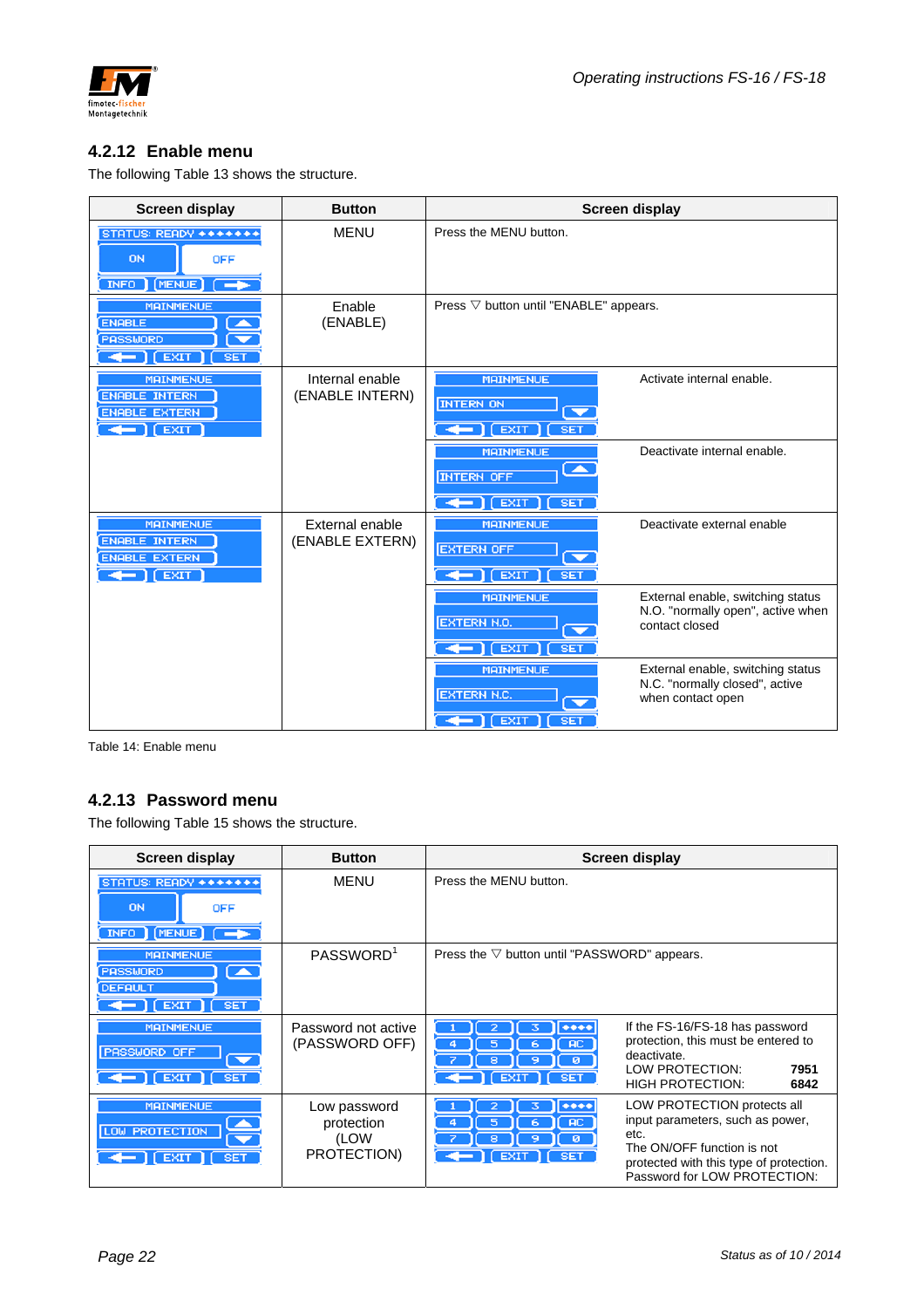

### **4.2.12 Enable menu**

The following Table 13 shows the structure.

| <b>Screen display</b>                                                                                                                                                                                                                                                                                                                                                                                                                                                                                                                                                | <b>Button</b>                      |                                                                                                | <b>Screen display</b>                                                                    |
|----------------------------------------------------------------------------------------------------------------------------------------------------------------------------------------------------------------------------------------------------------------------------------------------------------------------------------------------------------------------------------------------------------------------------------------------------------------------------------------------------------------------------------------------------------------------|------------------------------------|------------------------------------------------------------------------------------------------|------------------------------------------------------------------------------------------|
| STATUS: READY *******<br><b>ON</b><br><b>OFF</b><br>INFO MENUE (                                                                                                                                                                                                                                                                                                                                                                                                                                                                                                     | MENU                               | Press the MENU button.                                                                         |                                                                                          |
| <b>MAINMENUE</b><br><b>ENABLE</b><br>PASSWORD<br>$ \left($ EXIT<br><b>SET</b>                                                                                                                                                                                                                                                                                                                                                                                                                                                                                        | Enable<br>(ENABLE)                 | Press $\nabla$ button until "ENABLE" appears.                                                  |                                                                                          |
| <b>MAINMENUE</b><br><b>ENABLE INTERN</b><br><b>ENABLE EXTERN</b><br>$\leftarrow$ $\left($ EXIT                                                                                                                                                                                                                                                                                                                                                                                                                                                                       | Internal enable<br>(ENABLE INTERN) | <b>MAINMENUE</b><br><b>INTERN ON</b><br>▼<br>EXIT<br><b>SET</b>                                | Activate internal enable.                                                                |
|                                                                                                                                                                                                                                                                                                                                                                                                                                                                                                                                                                      |                                    | <b>MAINMENUE</b><br>×<br><b>INTERN OFF</b><br><b>EXIT</b><br><b>SET</b><br>$\leftarrow$        | Deactivate internal enable.                                                              |
| <b>MAINMENUE</b><br><b>ENABLE INTERN</b><br><b>ENABLE EXTERN</b><br>$\leftarrow$ $\leftarrow$ $\leftarrow$ $\leftarrow$ $\leftarrow$ $\leftarrow$ $\leftarrow$ $\leftarrow$ $\leftarrow$ $\leftarrow$ $\leftarrow$ $\leftarrow$ $\leftarrow$ $\leftarrow$ $\leftarrow$ $\leftarrow$ $\leftarrow$ $\leftarrow$ $\leftarrow$ $\leftarrow$ $\leftarrow$ $\leftarrow$ $\leftarrow$ $\leftarrow$ $\leftarrow$ $\leftarrow$ $\leftarrow$ $\leftarrow$ $\leftarrow$ $\leftarrow$ $\leftarrow$ $\leftarrow$ $\leftarrow$ $\leftarrow$ $\leftarrow$ $\leftarrow$ $\leftarrow$ | External enable<br>(ENABLE EXTERN) | <b>MAINMENUE</b><br><b>EXTERN OFF</b><br>$\overline{\phantom{a}}$<br><b>EXIT</b><br><b>SET</b> | Deactivate external enable                                                               |
|                                                                                                                                                                                                                                                                                                                                                                                                                                                                                                                                                                      |                                    | <b>MAINMENUE</b><br><b>EXTERN N.O.</b><br><b>EXIT</b><br><b>SET</b>                            | External enable, switching status<br>N.O. "normally open", active when<br>contact closed |
|                                                                                                                                                                                                                                                                                                                                                                                                                                                                                                                                                                      |                                    | <b>MAINMENUE</b><br><b>EXTERN N.C.</b><br>≂<br>I EXIT<br><b>SET</b><br>-                       | External enable, switching status<br>N.C. "normally closed", active<br>when contact open |

Table 14: Enable menu

### **4.2.13 Password menu**

The following Table 15 shows the structure.

| <b>Screen display</b>                                                                                    | <b>Button</b>                                     | Screen display                                                                                                                                                                                                                                                    |
|----------------------------------------------------------------------------------------------------------|---------------------------------------------------|-------------------------------------------------------------------------------------------------------------------------------------------------------------------------------------------------------------------------------------------------------------------|
| STATUS: READY *******<br>ON<br><b>OFF</b><br><b>INFO</b> (MENUE) (                                       | <b>MENU</b>                                       | Press the MENU button.                                                                                                                                                                                                                                            |
| <b>MAINMENUE</b><br>PASSWORD<br>$\blacktriangle$<br><b>DEFAULT</b><br>$\leftarrow$ [EXIT ]<br><b>SET</b> | PASSWORD <sup>1</sup>                             | Press the $\nabla$ button until "PASSWORD" appears.                                                                                                                                                                                                               |
| <b>MAINMENUE</b><br><b>PASSWORD OFF</b><br>1 [ EXIT ] [<br>SET                                           | Password not active<br>(PASSWORD OFF)             | If the FS-16/FS-18 has password<br>$***$<br>2<br>3<br>protection, this must be entered to<br>AC.<br>5<br>6<br>4<br>deactivate.<br>8<br>ø<br>LOW PROTECTION:<br>7951<br>$[\text{EXIT}][\text{SET}]$<br><b>HIGH PROTECTION:</b><br>6842                             |
| <b>MAINMENUE</b><br><b>LOW PROTECTION</b><br>EXIT ]<br>SET.                                              | Low password<br>protection<br>(LOW<br>PROTECTION) | LOW PROTECTION protects all<br>$***$<br>з<br>input parameters, such as power,<br><b>AC</b><br>5<br>6<br>etc.<br>8<br>ø<br>э<br>The ON/OFF function is not<br><b>EXIT</b><br><b>SET</b><br>protected with this type of protection.<br>Password for LOW PROTECTION: |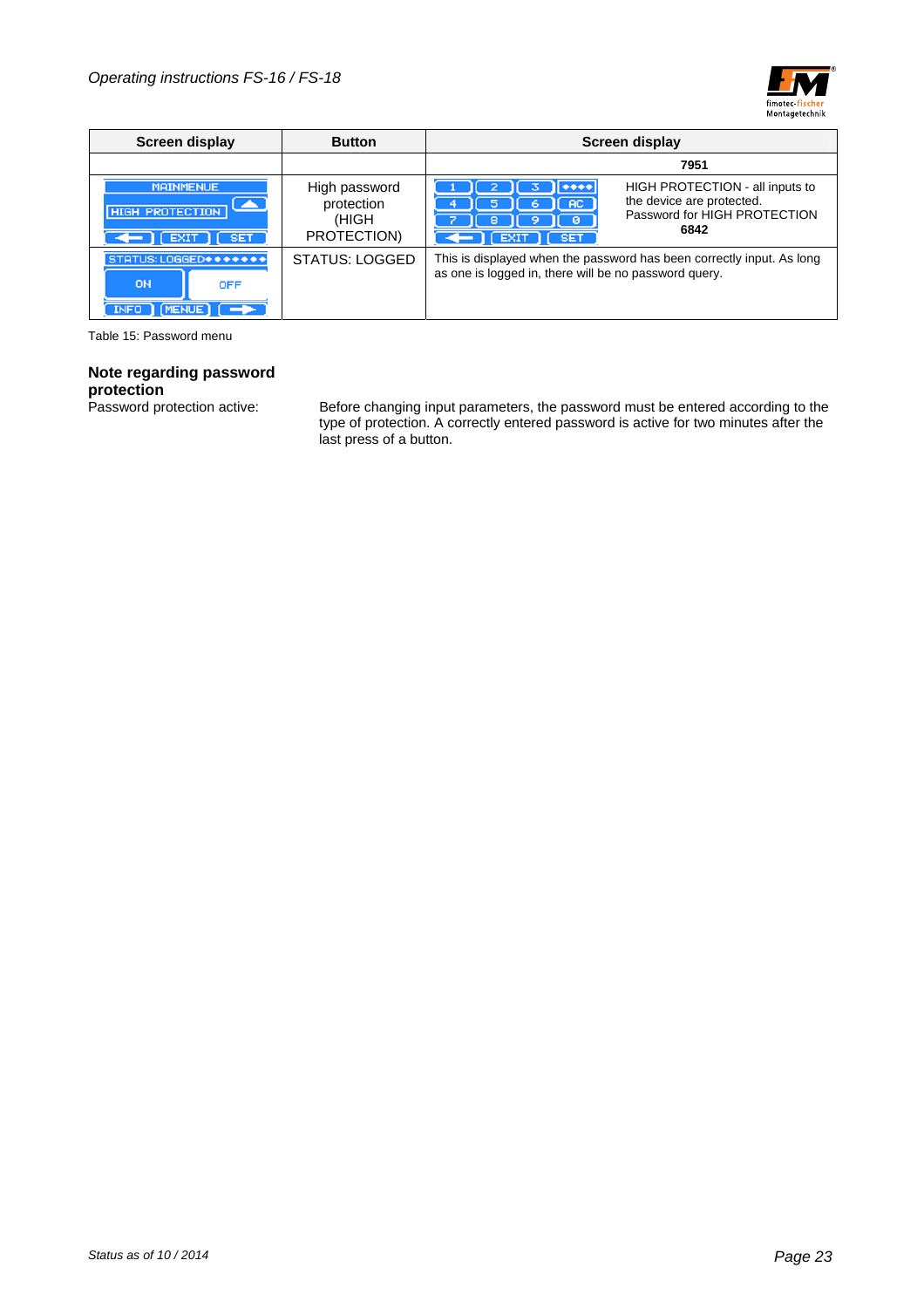

| Screen display<br><b>Button</b>                                  |                                                     | Screen display                                                                                                                                               |  |  |
|------------------------------------------------------------------|-----------------------------------------------------|--------------------------------------------------------------------------------------------------------------------------------------------------------------|--|--|
|                                                                  |                                                     | 7951                                                                                                                                                         |  |  |
| <b>MAINMENUE</b><br>▴<br><b>HIGH PROTECTION</b><br>SET.          | High password<br>protection<br>(HIGH<br>PROTECTION) | HIGH PROTECTION - all inputs to<br>the device are protected.<br>AC.<br>5<br>ь<br>Password for HIGH PROTECTION<br>8<br>ø<br>6842<br><b>EXIT</b><br><b>SET</b> |  |  |
| STATUS: LOGGED *******<br><b>ON</b><br><b>OFF</b><br><b>INFO</b> | <b>STATUS: LOGGED</b>                               | This is displayed when the password has been correctly input. As long<br>as one is logged in, there will be no password query.                               |  |  |

Table 15: Password menu

## **Note regarding password**

**protection**<br>Password protection active:

Password protection active: Before changing input parameters, the password must be entered according to the type of protection. A correctly entered password is active for two minutes after the last press of a button.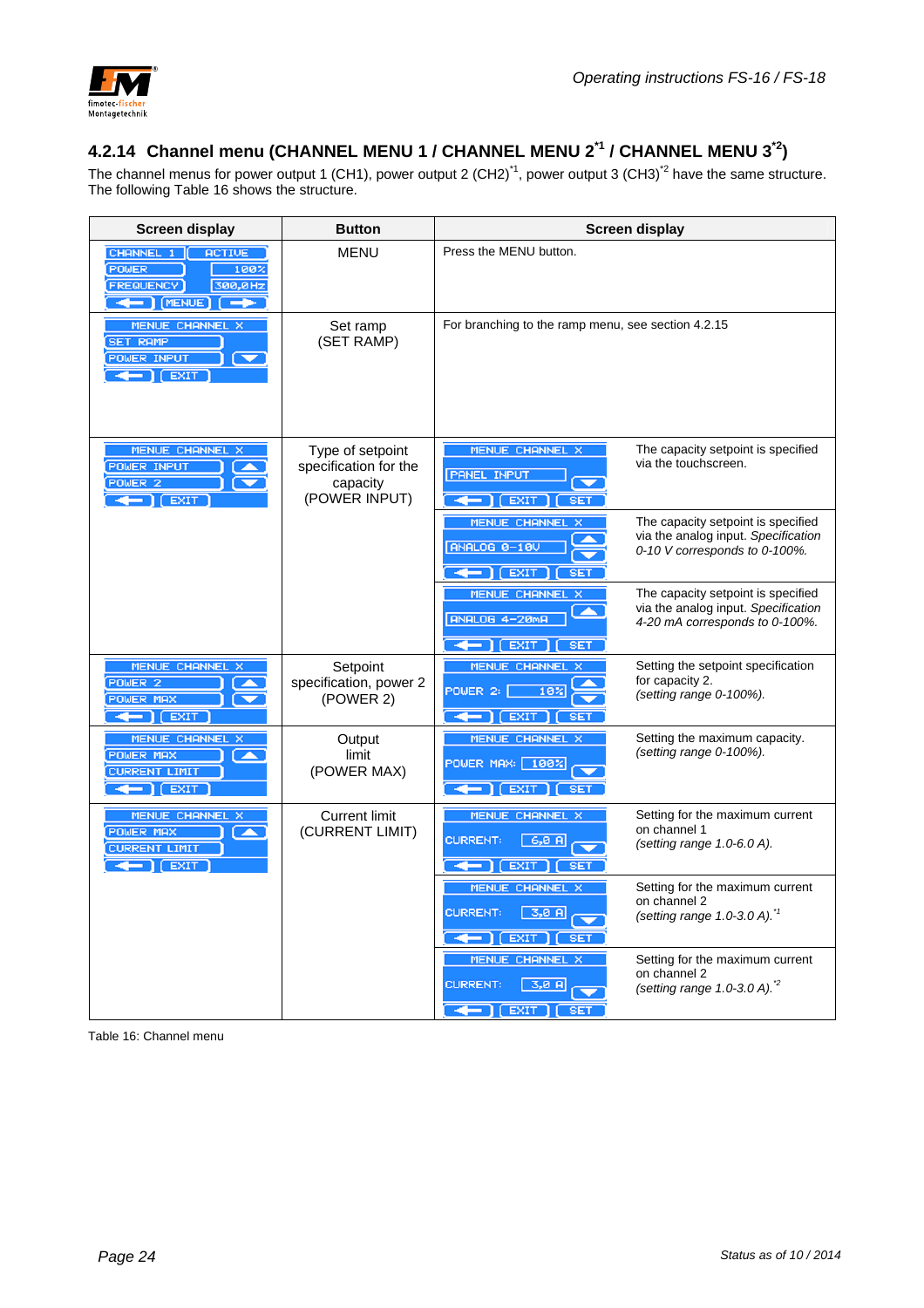

## **4.2.14 Channel menu (CHANNEL MENU 1 / CHANNEL MENU 2\*1 / CHANNEL MENU 3\*2)**

The channel menus for power output 1 (CH1), power output 2 (CH2)<sup>\*1</sup>, power output 3 (CH3)<sup>\*2</sup> have the same structure. The following Table 16 shows the structure.

| <b>Screen display</b>                                                                                      | <b>Button</b>                                                          | <b>Screen display</b>                                                                                                                                                                                      |
|------------------------------------------------------------------------------------------------------------|------------------------------------------------------------------------|------------------------------------------------------------------------------------------------------------------------------------------------------------------------------------------------------------|
| CHANNEL 1   ACTIVE<br><b>POWER</b><br>100%<br><b>FREQUENCY</b><br>300,0Hz<br>$  $ (MENUE)<br>$\rightarrow$ | <b>MENU</b>                                                            | Press the MENU button.                                                                                                                                                                                     |
| <b>MENUE CHANNEL X</b><br><b>SET RAMP</b><br><b>POWER INPUT</b><br>$\leftarrow$ $\left[$ EXIT              | Set ramp<br>(SET RAMP)                                                 | For branching to the ramp menu, see section 4.2.15                                                                                                                                                         |
| MENUE CHANNEL X<br><b>POWER INPUT</b><br>POWER <sub>2</sub><br>— 1 í EXIT                                  | Type of setpoint<br>specification for the<br>capacity<br>(POWER INPUT) | The capacity setpoint is specified<br><b>MENUE CHANNEL X</b><br>via the touchscreen.<br><b>PANEL INPUT</b><br><b>EXIT</b><br><b>SET</b>                                                                    |
|                                                                                                            |                                                                        | <b>MENUE CHANNEL X</b><br>The capacity setpoint is specified<br>via the analog input. Specification<br><b>ANALOG 0-10V</b><br>0-10 V corresponds to 0-100%.<br><b>EXIT</b><br><b>SET</b>                   |
|                                                                                                            |                                                                        | <b>MENUE CHANNEL X</b><br>The capacity setpoint is specified<br>via the analog input. Specification<br>ANALOG 4-20mA<br>4-20 mA corresponds to 0-100%.<br>$\leftarrow$ $\left  \right $ EXIT<br><b>SET</b> |
| MENUE CHANNEL X<br>POWER <sub>2</sub><br>POWER MAX<br>$\leftarrow$ ) $E XIT$                               | Setpoint<br>specification, power 2<br>(POWER 2)                        | <b>MENUE CHANNEL X</b><br>Setting the setpoint specification<br>for capacity 2.<br>POWER 2:<br>10%<br>(setting range 0-100%).<br><b>SET</b><br><b>EXIT</b>                                                 |
| MENUE CHANNEL X<br>POWER MAX<br><b>TA</b><br><b>CURRENT LIMIT</b><br>$\leftarrow$ [ EXIT                   | Output<br>limit<br>(POWER MAX)                                         | Setting the maximum capacity.<br><b>MENUE CHANNEL X</b><br>(setting range $0-100\%$ ).<br>POWER MAX:<br>100%<br><b>EXIT</b><br><b>SET</b>                                                                  |
| MENUE CHANNEL X<br>POWER MAX<br><b>TAN</b><br><b>CURRENT LIMIT</b><br>$\leftarrow$ ) $E XIT$               | <b>Current limit</b><br>(CURRENT LIMIT)                                | Setting for the maximum current<br><b>MENUE CHANNEL X</b><br>on channel 1<br><b>CURRENT:</b><br>6,0<br>(setting range $1.0 - 6.0$ A).<br><b>EXIT</b><br><b>SET</b>                                         |
|                                                                                                            |                                                                        | MENUE CHANNEL X<br>Setting for the maximum current<br>on channel 2<br><b>CURRENT:</b><br>$3,0$ A<br>(setting range $1.0-3.0$ A). <sup>*/</sup><br><b>SET</b><br><b>EXIT</b>                                |
|                                                                                                            |                                                                        | <b>MENUE CHANNEL X</b><br>Setting for the maximum current<br>on channel 2<br><b>CURRENT:</b><br>$3,0$ $A$<br>(setting range $1.0-3.0$ A). <sup>*2</sup><br><b>EXT</b>                                      |

Table 16: Channel menu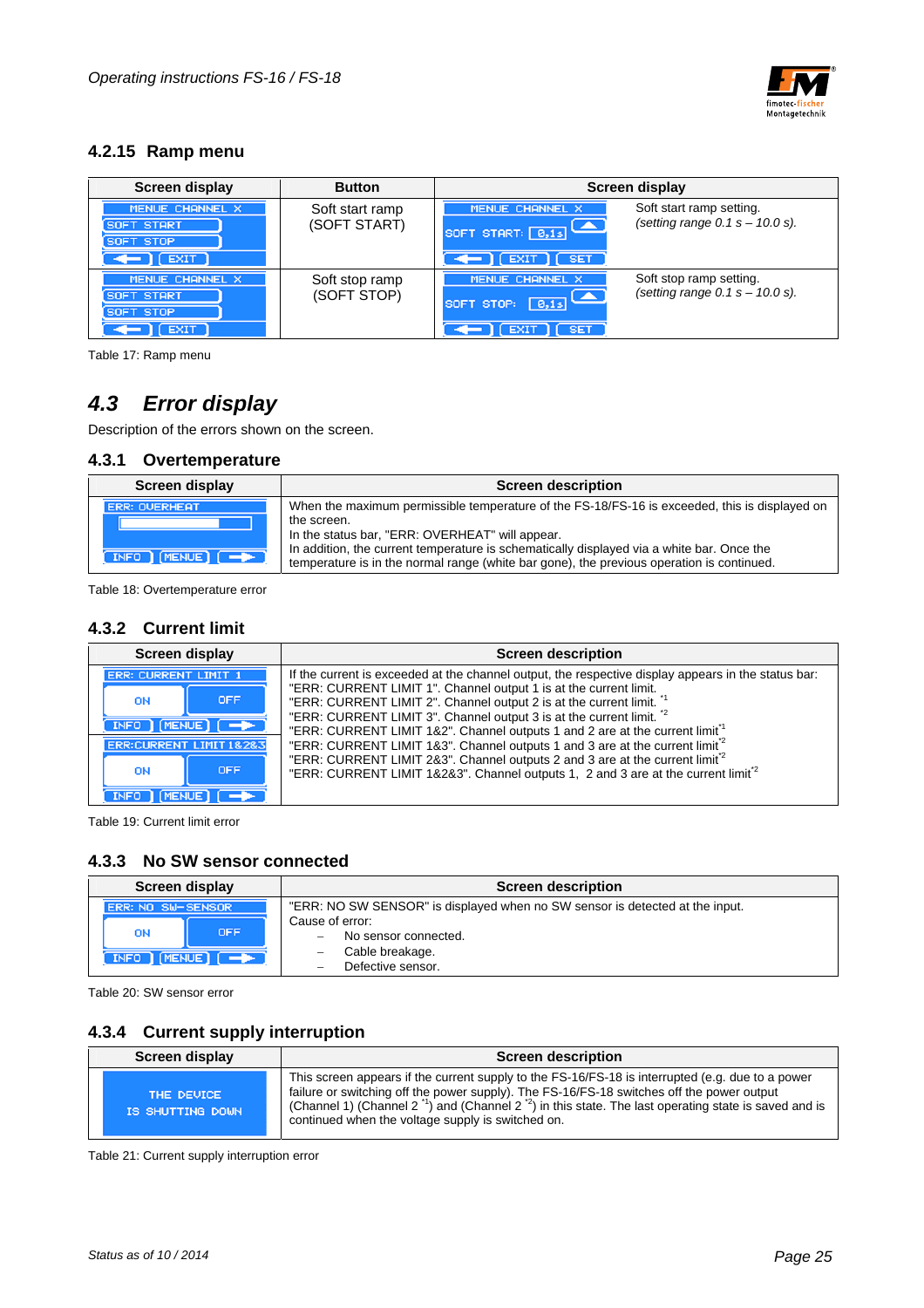

#### **4.2.15 Ramp menu**

| <b>Screen display</b>                                          | <b>Button</b>                   | Screen display                                                                                                                            |
|----------------------------------------------------------------|---------------------------------|-------------------------------------------------------------------------------------------------------------------------------------------|
| <b>MENUE CHANNEL</b><br>SOFT START<br>SOFT STOP<br><b>EXIT</b> | Soft start ramp<br>(SOFT START) | Soft start ramp setting.<br>MENUE CHANNEL X<br>(setting range $0.1 s - 10.0 s$ ).<br>SOFT START: 0,1s<br>$\Gamma$ [ EXIT $\Gamma$ ] [ SET |
| MENUE CHANNEL X<br>SOFT START<br>SOFT STOP<br><b>EXIT</b>      | Soft stop ramp<br>(SOFT STOP)   | Soft stop ramp setting.<br>MENUE CHANNEL X<br>(setting range $0.1 s - 10.0 s$ ).<br>SOFT STOP:<br>8,15<br><b>SET</b>                      |

Table 17: Ramp menu

## *4.3 Error display*

Description of the errors shown on the screen.

#### **4.3.1 Overtemperature**

| Screen display                                                | <b>Screen description</b>                                                                                                                                                                                                                                                                                                                                 |
|---------------------------------------------------------------|-----------------------------------------------------------------------------------------------------------------------------------------------------------------------------------------------------------------------------------------------------------------------------------------------------------------------------------------------------------|
| <b>ERR: OVERHEAT</b><br>$INFO$ $[MENT]$ $[$ $\rightarrow$ $]$ | When the maximum permissible temperature of the FS-18/FS-16 is exceeded, this is displayed on<br>the screen.<br>In the status bar, "ERR: OVERHEAT" will appear.<br>In addition, the current temperature is schematically displayed via a white bar. Once the<br>temperature is in the normal range (white bar gone), the previous operation is continued. |

Table 18: Overtemperature error

#### **4.3.2 Current limit**

| Screen display   | <b>Screen description</b>                                                                                                                                                               |
|------------------|-----------------------------------------------------------------------------------------------------------------------------------------------------------------------------------------|
|                  | If the current is exceeded at the channel output, the respective display appears in the status bar:                                                                                     |
| <b>OFF</b><br>ON | "ERR: CURRENT LIMIT 1". Channel output 1 is at the current limit.<br>"ERR: CURRENT LIMIT 2". Channel output 2 is at the current limit.                                                  |
| INFO   MENUE     | "ERR: CURRENT LIMIT 3". Channel output 3 is at the current limit. <sup>*2</sup><br>"ERR: CURRENT LIMIT 1&2". Channel outputs 1 and 2 are at the current limit <sup>1</sup>              |
|                  | "ERR: CURRENT LIMIT 1&3". Channel outputs 1 and 3 are at the current limit <sup>2</sup>                                                                                                 |
| <b>OFF</b><br>ON | "ERR: CURRENT LIMIT 2&3". Channel outputs 2 and 3 are at the current limit <sup>2</sup><br>"ERR: CURRENT LIMIT 1&2&3". Channel outputs 1, 2 and 3 are at the current limit <sup>2</sup> |
|                  |                                                                                                                                                                                         |

Table 19: Current limit error

#### **4.3.3 No SW sensor connected**

| Screen display                                                                 | <b>Screen description</b>                                                                                                                                                                                               |  |  |
|--------------------------------------------------------------------------------|-------------------------------------------------------------------------------------------------------------------------------------------------------------------------------------------------------------------------|--|--|
| ERR: NO SW-SENSOR<br><b>OFF</b><br>ON<br>$INFO$ $[MENT]$ $[$ $\rightarrow$ $]$ | "ERR: NO SW SENSOR" is displayed when no SW sensor is detected at the input.<br>Cause of error:<br>No sensor connected.<br>$\overline{\phantom{a}}$<br>Cable breakage.<br>Defective sensor.<br>$\overline{\phantom{0}}$ |  |  |

Table 20: SW sensor error

#### **4.3.4 Current supply interruption**

| Screen display                 | <b>Screen description</b>                                                                                                                                                                                                                                                                                                                                                           |
|--------------------------------|-------------------------------------------------------------------------------------------------------------------------------------------------------------------------------------------------------------------------------------------------------------------------------------------------------------------------------------------------------------------------------------|
| THE DEUICE<br>IS SHUTTING DOWN | This screen appears if the current supply to the FS-16/FS-18 is interrupted (e.g. due to a power<br>failure or switching off the power supply). The FS-16/FS-18 switches off the power output<br>(Channel 1) (Channel 2 <sup>-1</sup> ) and (Channel 2 <sup>-2</sup> ) in this state. The last operating state is saved and is<br>continued when the voltage supply is switched on. |

Table 21: Current supply interruption error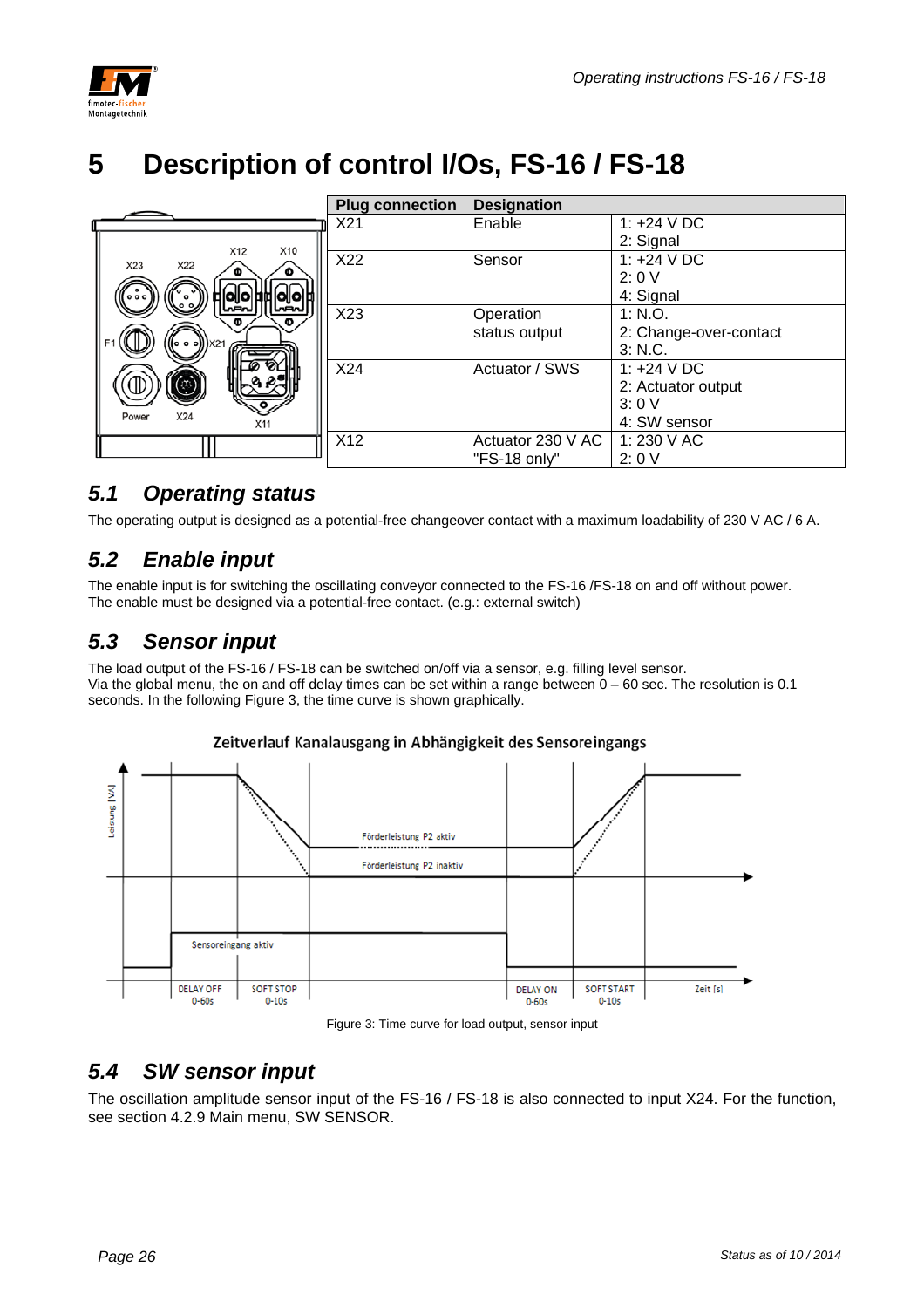

## **5 Description of control I/Os, FS-16 / FS-18**

|                                   | <b>Plug connection</b> | <b>Designation</b> |                        |
|-----------------------------------|------------------------|--------------------|------------------------|
|                                   | X21                    | Enable             | 1: $+24$ V DC          |
| X10<br>X12                        |                        |                    | 2: Signal              |
| X23<br>X22                        | X22                    | Sensor             | 1: $+24$ V DC          |
|                                   |                        |                    | 2:0V                   |
| <b> o  o  ‡i‡  o  o  ¤</b><br>000 |                        |                    | 4: Signal              |
| لمخما<br>Φ<br>Ð                   | X23                    | Operation          | 1: N.O.                |
|                                   |                        | status output      | 2: Change-over-contact |
| (o o o))   X21                    |                        |                    | 3: N.C.                |
|                                   | X24                    | Actuator / SWS     | 1: $+24$ V DC          |
| ☺                                 |                        |                    | 2: Actuator output     |
|                                   |                        |                    | 3:0V                   |
| X24<br>Power<br>X11               |                        |                    | 4: SW sensor           |
|                                   | X <sub>12</sub>        | Actuator 230 V AC  | 1: 230 V AC            |
|                                   |                        | "FS-18 only"       | 2:0V                   |

### *5.1 Operating status*

The operating output is designed as a potential-free changeover contact with a maximum loadability of 230 V AC / 6 A.

## *5.2 Enable input*

The enable input is for switching the oscillating conveyor connected to the FS-16 /FS-18 on and off without power. The enable must be designed via a potential-free contact. (e.g.: external switch)

## *5.3 Sensor input*

The load output of the FS-16 / FS-18 can be switched on/off via a sensor, e.g. filling level sensor. Via the global menu, the on and off delay times can be set within a range between  $0 - 60$  sec. The resolution is 0.1 seconds. In the following Figure 3, the time curve is shown graphically.

#### Zeitverlauf Kanalausgang in Abhängigkeit des Sensoreingangs





### *5.4 SW sensor input*

The oscillation amplitude sensor input of the FS-16 / FS-18 is also connected to input X24. For the function, see section 4.2.9 Main menu, SW SENSOR.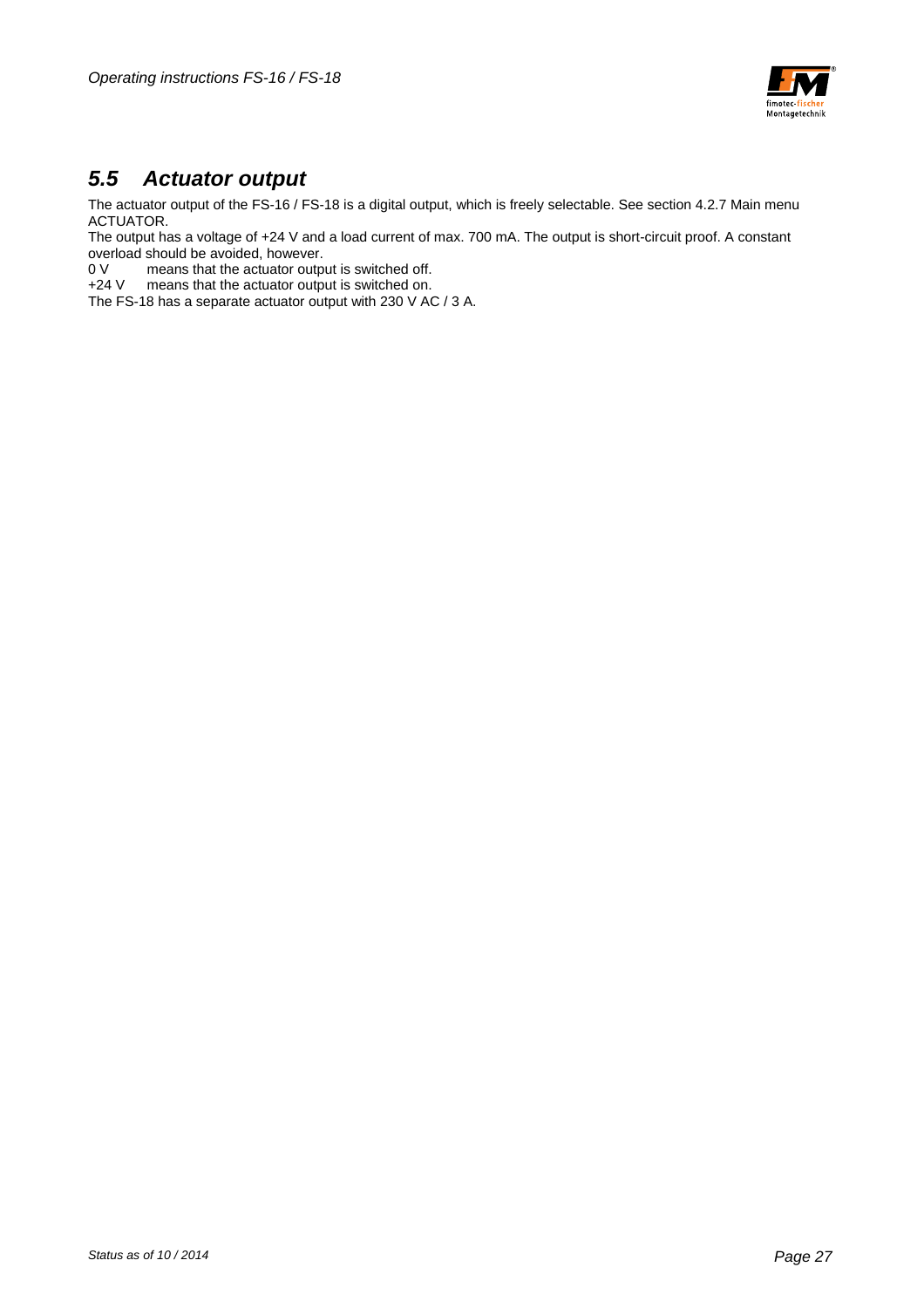

### *5.5 Actuator output*

The actuator output of the FS-16 / FS-18 is a digital output, which is freely selectable. See section 4.2.7 Main menu ACTUATOR.

The output has a voltage of +24 V and a load current of max. 700 mA. The output is short-circuit proof. A constant overload should be avoided, however.

0 V means that the actuator output is switched off.

+24 V means that the actuator output is switched on.

The FS-18 has a separate actuator output with 230 V AC / 3 A.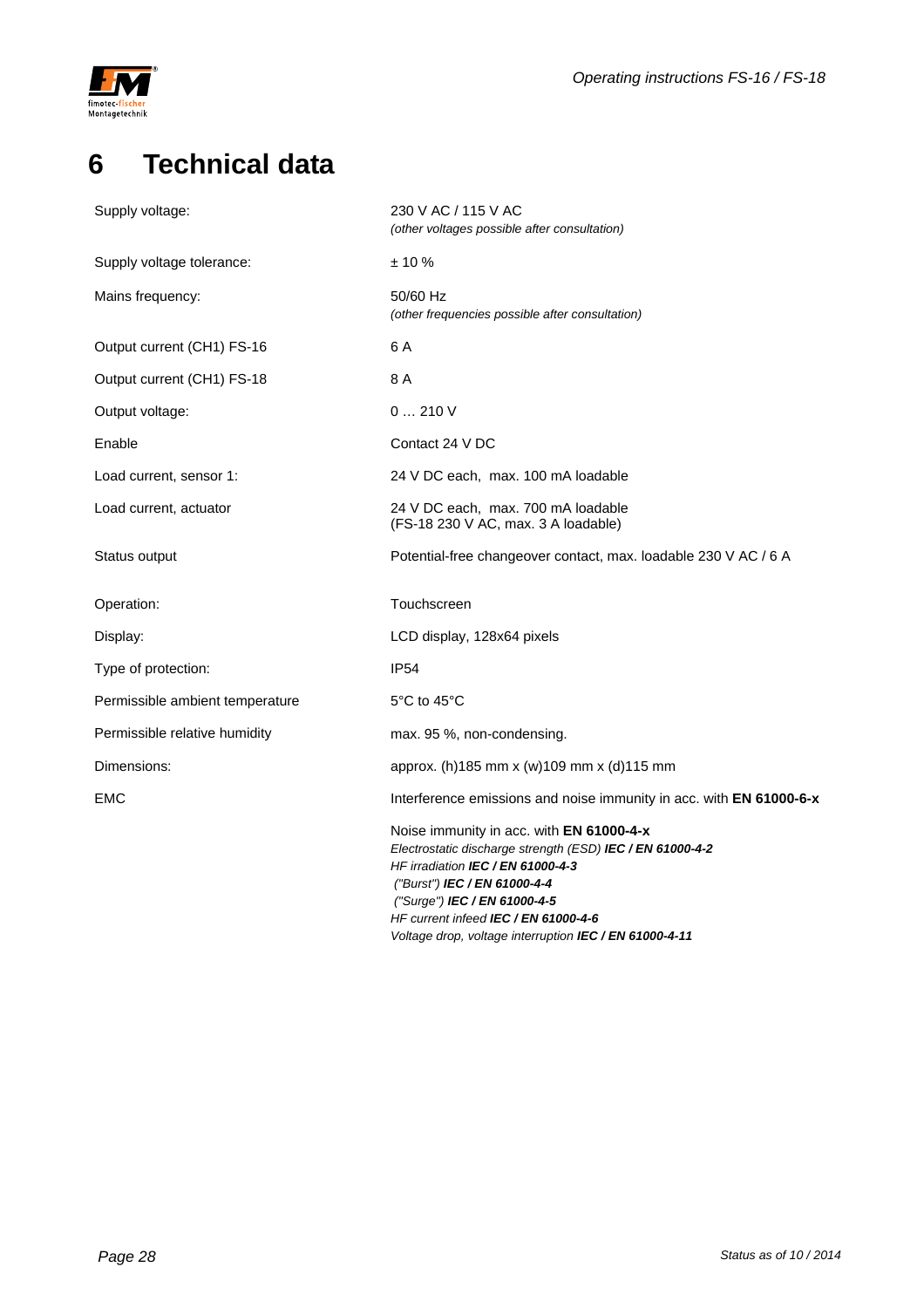

## **6 Technical data**

| Supply voltage:                 | 230 V AC / 115 V AC<br>(other voltages possible after consultation)                                                                                                                                                                                                                                                        |
|---------------------------------|----------------------------------------------------------------------------------------------------------------------------------------------------------------------------------------------------------------------------------------------------------------------------------------------------------------------------|
| Supply voltage tolerance:       | $± 10 \%$                                                                                                                                                                                                                                                                                                                  |
| Mains frequency:                | 50/60 Hz<br>(other frequencies possible after consultation)                                                                                                                                                                                                                                                                |
| Output current (CH1) FS-16      | 6 A                                                                                                                                                                                                                                                                                                                        |
| Output current (CH1) FS-18      | 8 A                                                                                                                                                                                                                                                                                                                        |
| Output voltage:                 | 0210V                                                                                                                                                                                                                                                                                                                      |
| Enable                          | Contact 24 V DC                                                                                                                                                                                                                                                                                                            |
| Load current, sensor 1:         | 24 V DC each, max. 100 mA loadable                                                                                                                                                                                                                                                                                         |
| Load current, actuator          | 24 V DC each, max. 700 mA loadable<br>(FS-18 230 V AC, max. 3 A loadable)                                                                                                                                                                                                                                                  |
| Status output                   | Potential-free changeover contact, max. loadable 230 V AC / 6 A                                                                                                                                                                                                                                                            |
| Operation:                      | Touchscreen                                                                                                                                                                                                                                                                                                                |
| Display:                        | LCD display, 128x64 pixels                                                                                                                                                                                                                                                                                                 |
| Type of protection:             | <b>IP54</b>                                                                                                                                                                                                                                                                                                                |
| Permissible ambient temperature | 5°C to 45°C                                                                                                                                                                                                                                                                                                                |
| Permissible relative humidity   | max. 95 %, non-condensing.                                                                                                                                                                                                                                                                                                 |
| Dimensions:                     | approx. (h)185 mm x (w)109 mm x (d)115 mm                                                                                                                                                                                                                                                                                  |
| EMC                             | Interference emissions and noise immunity in acc. with EN 61000-6-x                                                                                                                                                                                                                                                        |
|                                 | Noise immunity in acc. with EN 61000-4-x<br>Electrostatic discharge strength (ESD) IEC / EN 61000-4-2<br>HF irradiation IEC / EN 61000-4-3<br>("Burst") IEC / EN 61000-4-4<br>("Surge") IEC / EN 61000-4-5<br>HF current infeed IEC / EN 61000-4-6<br>Voltage drop, voltage interruption <b>IEC</b> / <b>EN 61000-4-11</b> |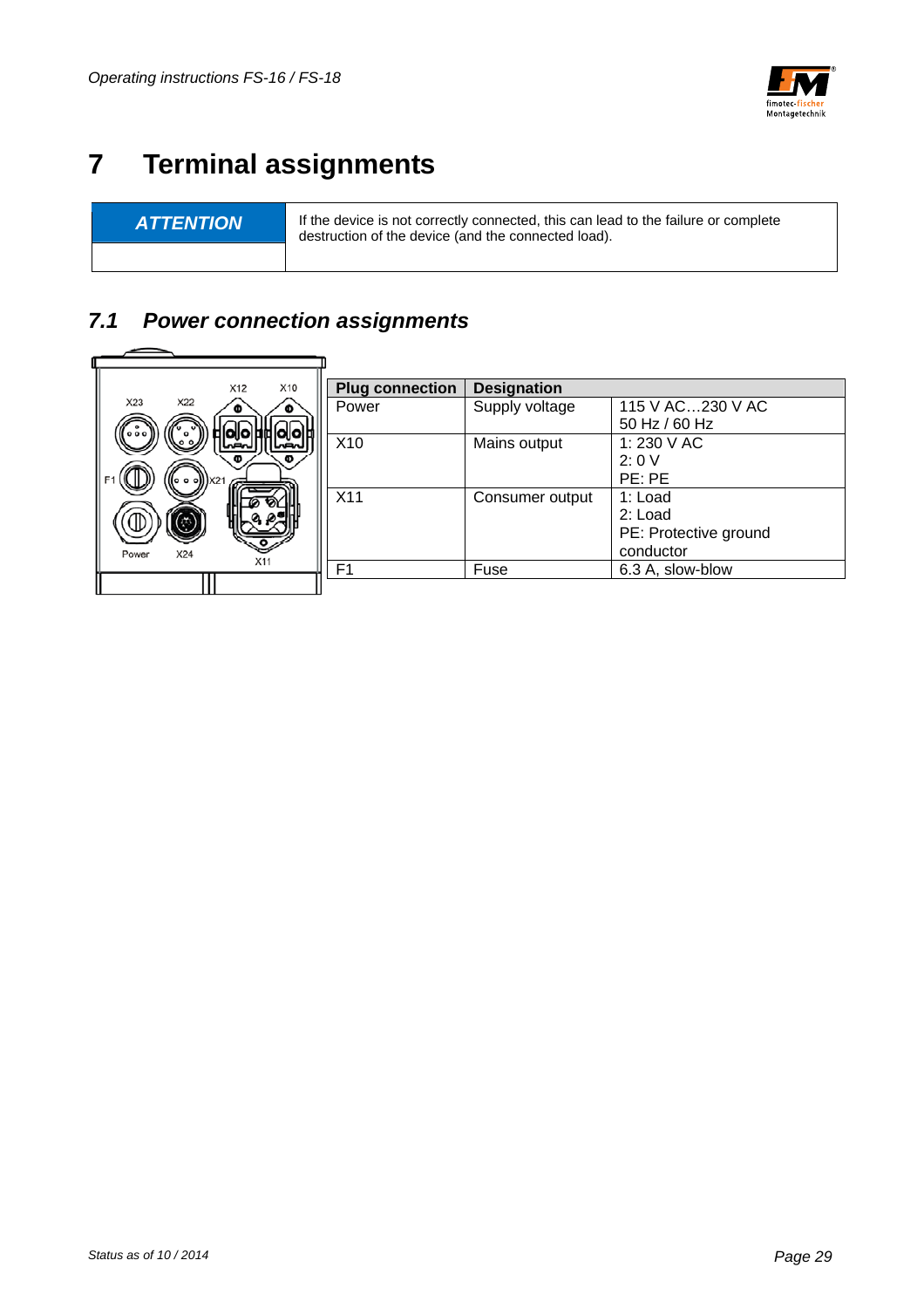

## **7 Terminal assignments**

-

**ATTENTION** If the device is not correctly connected, this can lead to the failure or complete destruction of the device (and the connected load).

## *7.1 Power connection assignments*

|       |     | X12 | X10  | <b>Plug connection</b> | <b>Designation</b> |                       |  |
|-------|-----|-----|------|------------------------|--------------------|-----------------------|--|
| X23   | X22 |     |      | Power                  | Supply voltage     | 115 V AC230 V AC      |  |
| 000   |     |     |      |                        |                    | 50 Hz / 60 Hz         |  |
|       |     |     | سحما | X <sub>10</sub>        | Mains output       | 1:230 V AC            |  |
|       |     | Φ   |      |                        |                    | 2:0V                  |  |
|       |     |     |      |                        |                    | PE: PE                |  |
|       |     |     |      | X11                    | Consumer output    | 1: Load               |  |
|       | 73  |     |      |                        |                    | 2: Load               |  |
|       |     |     |      |                        |                    | PE: Protective ground |  |
| Power | X24 | X11 |      |                        |                    | conductor             |  |
|       |     |     |      | F <sub>1</sub>         | Fuse               | 6.3 A, slow-blow      |  |
|       |     |     |      |                        |                    |                       |  |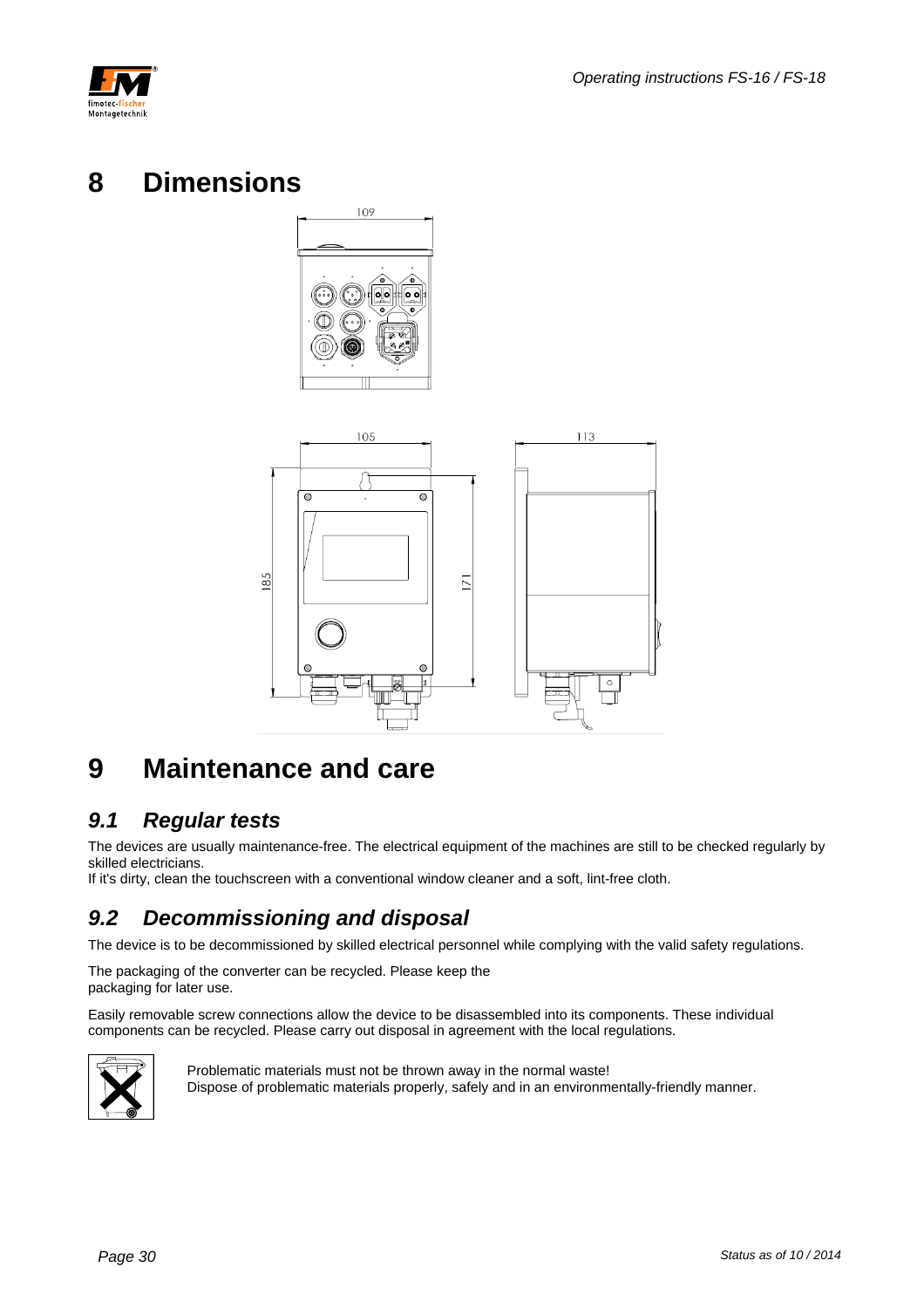



## **8 Dimensions**





## **9 Maintenance and care**

### *9.1 Regular tests*

The devices are usually maintenance-free. The electrical equipment of the machines are still to be checked regularly by skilled electricians.

If it's dirty, clean the touchscreen with a conventional window cleaner and a soft, lint-free cloth.

## *9.2 Decommissioning and disposal*

The device is to be decommissioned by skilled electrical personnel while complying with the valid safety regulations.

The packaging of the converter can be recycled. Please keep the packaging for later use.

Easily removable screw connections allow the device to be disassembled into its components. These individual components can be recycled. Please carry out disposal in agreement with the local regulations.



Problematic materials must not be thrown away in the normal waste! Dispose of problematic materials properly, safely and in an environmentally-friendly manner.